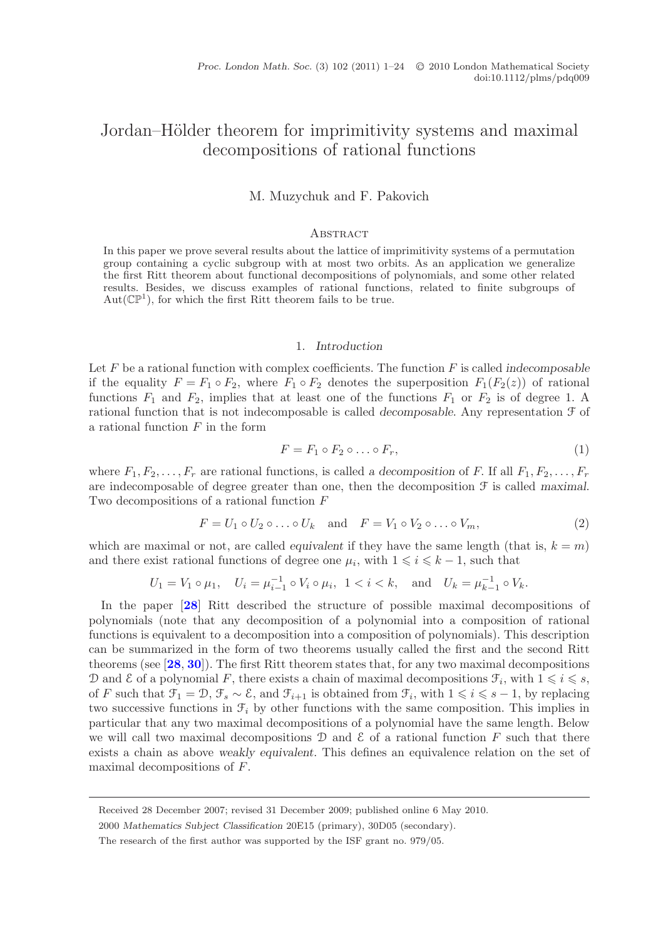# Jordan–Hölder theorem for imprimitivity systems and maximal decompositions of rational functions

M. Muzychuk and F. Pakovich

#### **ABSTRACT**

In this paper we prove several results about the lattice of imprimitivity systems of a permutation group containing a cyclic subgroup with at most two orbits. As an application we generalize the first Ritt theorem about functional decompositions of polynomials, and some other related results. Besides, we discuss examples of rational functions, related to finite subgroups of  $Aut(\mathbb{CP}^1)$ , for which the first Ritt theorem fails to be true.

### 1. *Introduction*

Let F be a rational function with complex coefficients. The function F is called *indecomposable* if the equality  $F = F_1 \circ F_2$ , where  $F_1 \circ F_2$  denotes the superposition  $F_1(F_2(z))$  of rational functions  $F_1$  and  $F_2$ , implies that at least one of the functions  $F_1$  or  $F_2$  is of degree 1. A rational function that is not indecomposable is called *decomposable*. Any representation F of a rational function  $F$  in the form

$$
F = F_1 \circ F_2 \circ \dots \circ F_r,\tag{1}
$$

where  $F_1, F_2, \ldots, F_r$  are rational functions, is called *a decomposition* of F. If all  $F_1, F_2, \ldots, F_r$ are indecomposable of degree greater than one, then the decomposition F is called *maximal*. Two decompositions of a rational function F

<span id="page-0-0"></span>
$$
F = U_1 \circ U_2 \circ \dots \circ U_k \quad \text{and} \quad F = V_1 \circ V_2 \circ \dots \circ V_m,\tag{2}
$$

which are maximal or not, are called *equivalent* if they have the same length (that is,  $k = m$ ) and there exist rational functions of degree one  $\mu_i$ , with  $1 \leq i \leq k - 1$ , such that

$$
U_1 = V_1 \circ \mu_1, \quad U_i = \mu_{i-1}^{-1} \circ V_i \circ \mu_i, \quad 1 < i < k, \quad \text{and} \quad U_k = \mu_{k-1}^{-1} \circ V_k.
$$

In the paper [**[28](#page-22-0)**] Ritt described the structure of possible maximal decompositions of polynomials (note that any decomposition of a polynomial into a composition of rational functions is equivalent to a decomposition into a composition of polynomials). This description can be summarized in the form of two theorems usually called the first and the second Ritt theorems (see [**[28](#page-22-0)**, **[30](#page-23-0)**]). The first Ritt theorem states that, for any two maximal decompositions D and  $\mathcal E$  of a polynomial F, there exists a chain of maximal decompositions  $\mathcal F_i$ , with  $1 \leq i \leq s$ , of F such that  $\mathcal{F}_1 = \mathcal{D}, \mathcal{F}_s \sim \mathcal{E}$ , and  $\mathcal{F}_{i+1}$  is obtained from  $\mathcal{F}_i$ , with  $1 \leq i \leq s-1$ , by replacing two successive functions in  $\mathcal{F}_i$  by other functions with the same composition. This implies in particular that any two maximal decompositions of a polynomial have the same length. Below we will call two maximal decompositions  $\mathcal D$  and  $\mathcal E$  of a rational function F such that there exists a chain as above *weakly equivalent*. This defines an equivalence relation on the set of maximal decompositions of F.

Received 28 December 2007; revised 31 December 2009; published online 6 May 2010.

<sup>2000</sup> *Mathematics Subject Classification* 20E15 (primary), 30D05 (secondary).

The research of the first author was supported by the ISF grant no. 979/05.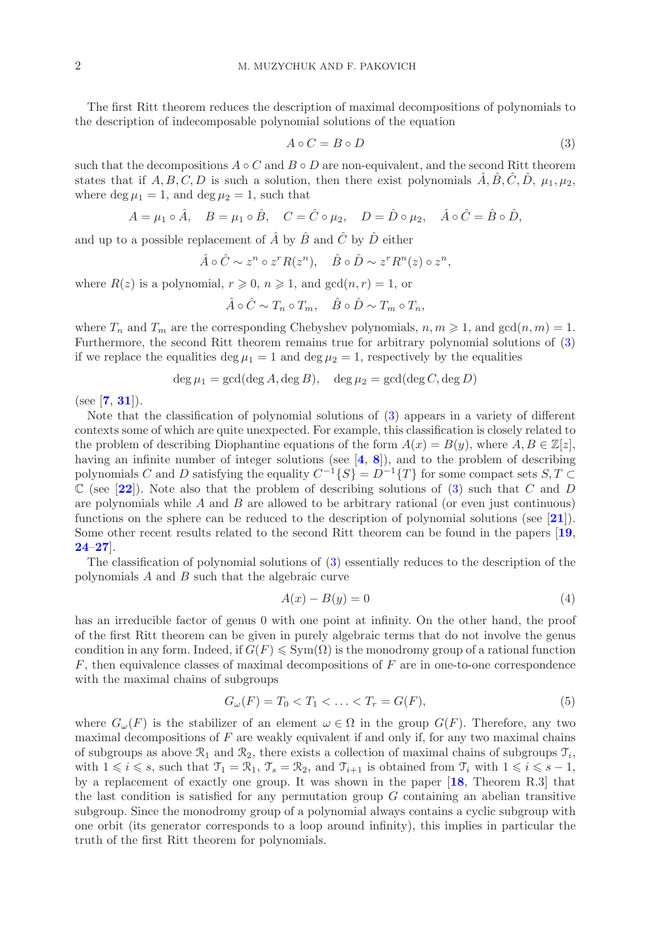The first Ritt theorem reduces the description of maximal decompositions of polynomials to the description of indecomposable polynomial solutions of the equation

<span id="page-1-0"></span>
$$
A \circ C = B \circ D \tag{3}
$$

such that the decompositions  $A \circ C$  and  $B \circ D$  are non-equivalent, and the second Ritt theorem states that if A, B, C, D is such a solution, then there exist polynomials  $\hat{A}, \hat{B}, \hat{C}, \hat{D}, \mu_1, \mu_2$ , where deg  $\mu_1 = 1$ , and deg  $\mu_2 = 1$ , such that

$$
A = \mu_1 \circ \hat{A}, \quad B = \mu_1 \circ \hat{B}, \quad C = \hat{C} \circ \mu_2, \quad D = \hat{D} \circ \mu_2, \quad \hat{A} \circ \hat{C} = \hat{B} \circ \hat{D},
$$

and up to a possible replacement of  $\hat{A}$  by  $\hat{B}$  and  $\hat{C}$  by  $\hat{D}$  either

$$
\hat{A} \circ \hat{C} \sim z^n \circ z^r R(z^n), \quad \hat{B} \circ \hat{D} \sim z^r R^n(z) \circ z^n,
$$

where  $R(z)$  is a polynomial,  $r \geq 0$ ,  $n \geq 1$ , and  $gcd(n, r) = 1$ , or

$$
\hat{A} \circ \hat{C} \sim T_n \circ T_m, \quad \hat{B} \circ \hat{D} \sim T_m \circ T_n,
$$

where  $T_n$  and  $T_m$  are the corresponding Chebyshev polynomials,  $n, m \geq 1$ , and  $gcd(n, m) = 1$ . Furthermore, the second Ritt theorem remains true for arbitrary polynomial solutions of [\(3\)](#page-1-0) if we replace the equalities deg  $\mu_1 = 1$  and deg  $\mu_2 = 1$ , respectively by the equalities

$$
\deg \mu_1 = \gcd(\deg A, \deg B), \quad \deg \mu_2 = \gcd(\deg C, \deg D)
$$

(see [**[7](#page-22-1)**, **[31](#page-23-1)**]).

Note that the classification of polynomial solutions of [\(3\)](#page-1-0) appears in a variety of different contexts some of which are quite unexpected. For example, this classification is closely related to the problem of describing Diophantine equations of the form  $A(x) = B(y)$ , where  $A, B \in \mathbb{Z}[z]$ , having an infinite number of integer solutions (see [**[4](#page-22-2)**, **[8](#page-22-3)**]), and to the problem of describing polynomials C and D satisfying the equality  $C^{-1}{S} = D^{-1}{T}$  for some compact sets  $S, T \subset$  $\mathbb{C}$  (see [[22](#page-22-4)]). Note also that the problem of describing solutions of [\(3\)](#page-1-0) such that C and D are polynomials while  $A$  and  $B$  are allowed to be arbitrary rational (or even just continuous) functions on the sphere can be reduced to the description of polynomial solutions (see [**[21](#page-22-5)**]). Some other recent results related to the second Ritt theorem can be found in the papers [**[19](#page-22-6)**, **[24](#page-22-7)**–**[27](#page-22-8)**].

The classification of polynomial solutions of [\(3\)](#page-1-0) essentially reduces to the description of the polynomials  $A$  and  $B$  such that the algebraic curve

$$
A(x) - B(y) = 0 \tag{4}
$$

has an irreducible factor of genus 0 with one point at infinity. On the other hand, the proof of the first Ritt theorem can be given in purely algebraic terms that do not involve the genus condition in any form. Indeed, if  $G(F) \leq \text{Sym}(\Omega)$  is the monodromy group of a rational function  $F$ , then equivalence classes of maximal decompositions of  $F$  are in one-to-one correspondence with the maximal chains of subgroups

<span id="page-1-1"></span>
$$
G_{\omega}(F) = T_0 < T_1 < \ldots < T_r = G(F),\tag{5}
$$

where  $G_{\omega}(F)$  is the stabilizer of an element  $\omega \in \Omega$  in the group  $G(F)$ . Therefore, any two maximal decompositions of  $F$  are weakly equivalent if and only if, for any two maximal chains of subgroups as above  $\mathcal{R}_1$  and  $\mathcal{R}_2$ , there exists a collection of maximal chains of subgroups  $\mathcal{T}_i$ , with  $1 \leq i \leq s$ , such that  $\mathcal{T}_1 = \mathcal{R}_1$ ,  $\mathcal{T}_s = \mathcal{R}_2$ , and  $\mathcal{T}_{i+1}$  is obtained from  $\mathcal{T}_i$  with  $1 \leq i \leq s-1$ , by a replacement of exactly one group. It was shown in the paper [**[18](#page-22-9)**, Theorem R.3] that the last condition is satisfied for any permutation group  $G$  containing an abelian transitive subgroup. Since the monodromy group of a polynomial always contains a cyclic subgroup with one orbit (its generator corresponds to a loop around infinity), this implies in particular the truth of the first Ritt theorem for polynomials.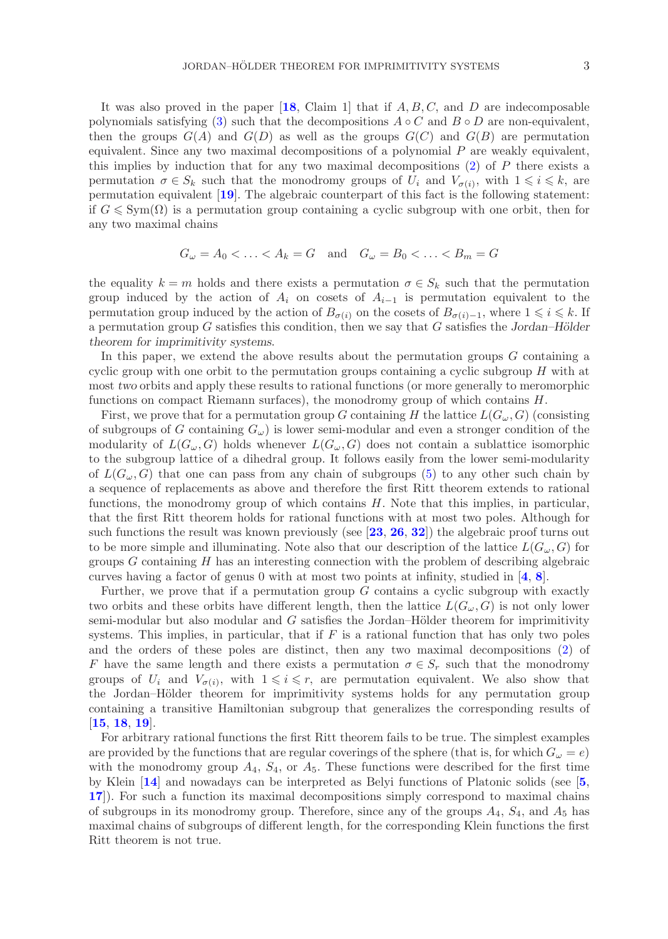It was also proved in the paper  $[18, \text{Claim 1}]$  $[18, \text{Claim 1}]$  $[18, \text{Claim 1}]$  that if  $A, B, C$ , and  $D$  are indecomposable polynomials satisfying [\(3\)](#page-1-0) such that the decompositions  $A \circ C$  and  $B \circ D$  are non-equivalent, then the groups  $G(A)$  and  $G(D)$  as well as the groups  $G(C)$  and  $G(B)$  are permutation equivalent. Since any two maximal decompositions of a polynomial P are weakly equivalent, this implies by induction that for any two maximal decompositions  $(2)$  of P there exists a permutation  $\sigma \in S_k$  such that the monodromy groups of  $U_i$  and  $V_{\sigma(i)}$ , with  $1 \leq i \leq k$ , are permutation equivalent [**[19](#page-22-6)**]. The algebraic counterpart of this fact is the following statement: if  $G \leqslant \text{Sym}(\Omega)$  is a permutation group containing a cyclic subgroup with one orbit, then for any two maximal chains

$$
G_{\omega} = A_0 < \ldots < A_k = G \quad \text{and} \quad G_{\omega} = B_0 < \ldots < B_m = G
$$

the equality  $k = m$  holds and there exists a permutation  $\sigma \in S_k$  such that the permutation group induced by the action of  $A_i$  on cosets of  $A_{i-1}$  is permutation equivalent to the permutation group induced by the action of  $B_{\sigma(i)}$  on the cosets of  $B_{\sigma(i)-1}$ , where  $1 \leq i \leq k$ . If a permutation group G satisfies this condition, then we say that G satisfies the *Jordan–Hölder theorem for imprimitivity systems*.

In this paper, we extend the above results about the permutation groups  $G$  containing a cyclic group with one orbit to the permutation groups containing a cyclic subgroup  $H$  with at most *two* orbits and apply these results to rational functions (or more generally to meromorphic functions on compact Riemann surfaces), the monodromy group of which contains H.

First, we prove that for a permutation group G containing H the lattice  $L(G_\omega, G)$  (consisting of subgroups of G containing  $G_{\omega}$ ) is lower semi-modular and even a stronger condition of the modularity of  $L(G_{\omega}, G)$  holds whenever  $L(G_{\omega}, G)$  does not contain a sublattice isomorphic to the subgroup lattice of a dihedral group. It follows easily from the lower semi-modularity of  $L(G_\omega, G)$  that one can pass from any chain of subgroups [\(5\)](#page-1-1) to any other such chain by a sequence of replacements as above and therefore the first Ritt theorem extends to rational functions, the monodromy group of which contains  $H$ . Note that this implies, in particular, that the first Ritt theorem holds for rational functions with at most two poles. Although for such functions the result was known previously (see [**[23](#page-22-10)**, **[26](#page-22-11)**, **[32](#page-23-2)**]) the algebraic proof turns out to be more simple and illuminating. Note also that our description of the lattice  $L(G_{\omega}, G)$  for groups  $G$  containing  $H$  has an interesting connection with the problem of describing algebraic curves having a factor of genus 0 with at most two points at infinity, studied in [**[4](#page-22-2)**, **[8](#page-22-3)**].

Further, we prove that if a permutation group  $G$  contains a cyclic subgroup with exactly two orbits and these orbits have different length, then the lattice  $L(G_{\omega}, G)$  is not only lower semi-modular but also modular and  $G$  satisfies the Jordan–Hölder theorem for imprimitivity systems. This implies, in particular, that if  $F$  is a rational function that has only two poles and the orders of these poles are distinct, then any two maximal decompositions [\(2\)](#page-0-0) of F have the same length and there exists a permutation  $\sigma \in S_r$  such that the monodromy groups of  $U_i$  and  $V_{\sigma(i)}$ , with  $1 \leq i \leq r$ , are permutation equivalent. We also show that the Jordan–Hölder theorem for imprimitivity systems holds for any permutation group containing a transitive Hamiltonian subgroup that generalizes the corresponding results of [**[15](#page-22-12)**, **[18](#page-22-9)**, **[19](#page-22-6)**].

For arbitrary rational functions the first Ritt theorem fails to be true. The simplest examples are provided by the functions that are regular coverings of the sphere (that is, for which  $G_{\omega} = e$ ) with the monodromy group  $A_4$ ,  $S_4$ , or  $A_5$ . These functions were described for the first time by Klein [**[14](#page-22-13)**] and nowadays can be interpreted as Belyi functions of Platonic solids (see [**[5](#page-22-14)**, **[17](#page-22-15)**]). For such a function its maximal decompositions simply correspond to maximal chains of subgroups in its monodromy group. Therefore, since any of the groups  $A_4$ ,  $S_4$ , and  $A_5$  has maximal chains of subgroups of different length, for the corresponding Klein functions the first Ritt theorem is not true.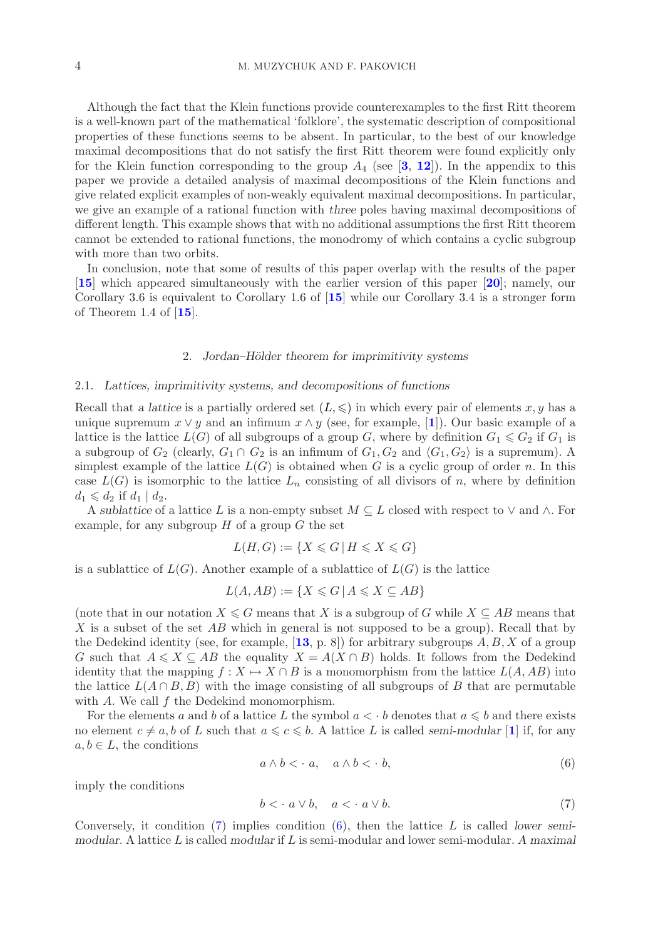Although the fact that the Klein functions provide counterexamples to the first Ritt theorem is a well-known part of the mathematical 'folklore', the systematic description of compositional properties of these functions seems to be absent. In particular, to the best of our knowledge maximal decompositions that do not satisfy the first Ritt theorem were found explicitly only for the Klein function corresponding to the group  $A_4$  (see [[3](#page-22-16), [12](#page-22-17)]). In the appendix to this paper we provide a detailed analysis of maximal decompositions of the Klein functions and give related explicit examples of non-weakly equivalent maximal decompositions. In particular, we give an example of a rational function with *three* poles having maximal decompositions of different length. This example shows that with no additional assumptions the first Ritt theorem cannot be extended to rational functions, the monodromy of which contains a cyclic subgroup with more than two orbits.

In conclusion, note that some of results of this paper overlap with the results of the paper [**[15](#page-22-12)**] which appeared simultaneously with the earlier version of this paper [**[20](#page-22-18)**]; namely, our Corollary 3.6 is equivalent to Corollary 1.6 of [**[15](#page-22-12)**] while our Corollary 3.4 is a stronger form of Theorem 1.4 of [**[15](#page-22-12)**].

### 2. *Jordan–H¨older theorem for imprimitivity systems*

## 2.1. *Lattices, imprimitivity systems, and decompositions of functions*

Recall that *a lattice* is a partially ordered set  $(L, \leqslant)$  in which every pair of elements x, y has a unique supremum  $x \vee y$  and an infimum  $x \wedge y$  (see, for example, [[1](#page-22-19)]). Our basic example of a lattice is the lattice  $L(G)$  of all subgroups of a group G, where by definition  $G_1 \leqslant G_2$  if  $G_1$  is a subgroup of  $G_2$  (clearly,  $G_1 \cap G_2$  is an infimum of  $G_1, G_2$  and  $\langle G_1, G_2 \rangle$  is a supremum). A simplest example of the lattice  $L(G)$  is obtained when G is a cyclic group of order n. In this case  $L(G)$  is isomorphic to the lattice  $L_n$  consisting of all divisors of n, where by definition  $d_1 \leqslant d_2$  if  $d_1 | d_2$ .

A *sublattice* of a lattice L is a non-empty subset  $M \subseteq L$  closed with respect to  $\vee$  and  $\wedge$ . For example, for any subgroup  $H$  of a group  $G$  the set

$$
L(H, G) := \{ X \leqslant G \mid H \leqslant X \leqslant G \}
$$

is a sublattice of  $L(G)$ . Another example of a sublattice of  $L(G)$  is the lattice

$$
L(A, AB) := \{ X \le G \mid A \le X \subseteq AB \}
$$

(note that in our notation  $X \le G$  means that X is a subgroup of G while  $X \subseteq AB$  means that X is a subset of the set AB which in general is not supposed to be a group). Recall that by the Dedekind identity (see, for example,  $[13, p. 8]$  $[13, p. 8]$  $[13, p. 8]$ ) for arbitrary subgroups  $A, B, X$  of a group G such that  $A \leq X \subseteq AB$  the equality  $X = A(X \cap B)$  holds. It follows from the Dedekind identity that the mapping  $f: X \mapsto X \cap B$  is a monomorphism from the lattice  $L(A, AB)$  into the lattice  $L(A \cap B, B)$  with the image consisting of all subgroups of B that are permutable with  $A$ . We call  $f$  the Dedekind monomorphism.

For the elements a and b of a lattice L the symbol  $a < \cdot b$  denotes that  $a \leq b$  and there exists no element  $c \neq a$ , b of L such that  $a \leqslant c \leqslant b$ . A lattice L is called *semi-modular* [[1](#page-22-19)] if, for any  $a, b \in L$ , the conditions

<span id="page-3-1"></span>
$$
a \wedge b < \cdot a, \quad a \wedge b < \cdot b,\tag{6}
$$

imply the conditions

<span id="page-3-0"></span>
$$
b < a \lor b, \quad a < a \lor b. \tag{7}
$$

Conversely, it condition [\(7\)](#page-3-0) implies condition [\(6\)](#page-3-1), then the lattice L is called *lower semimodular*. A lattice L is called *modular* if L is semi-modular and lower semi-modular. *A maximal*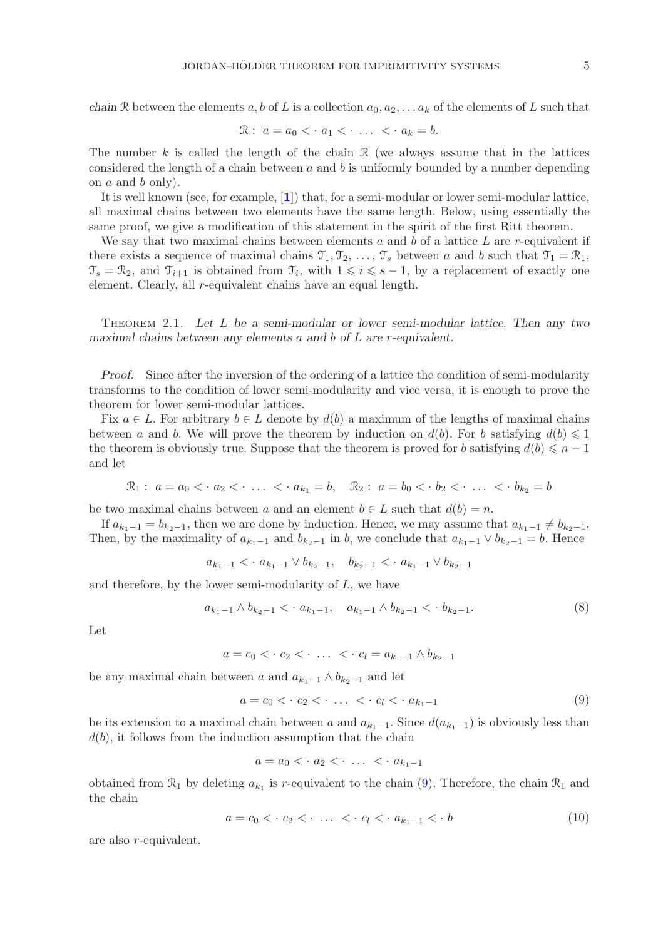*chain* R between the elements a, b of L is a collection  $a_0, a_2, \ldots, a_k$  of the elements of L such that

$$
\mathcal{R}: \ a = a_0 < a_1 < \cdot \ \ldots \ < a_k = b.
$$

The number k is called the length of the chain  $\mathcal R$  (we always assume that in the lattices considered the length of a chain between  $a$  and  $b$  is uniformly bounded by a number depending on  $a$  and  $b$  only).

It is well known (see, for example, [**[1](#page-22-19)**]) that, for a semi-modular or lower semi-modular lattice, all maximal chains between two elements have the same length. Below, using essentially the same proof, we give a modification of this statement in the spirit of the first Ritt theorem.

We say that two maximal chains between elements  $a$  and  $b$  of a lattice  $L$  are r-equivalent if there exists a sequence of maximal chains  $\mathcal{T}_1, \mathcal{T}_2, \ldots, \mathcal{T}_s$  between a and b such that  $\mathcal{T}_1 = \mathcal{R}_1$ ,  $\mathcal{T}_s = \mathcal{R}_2$ , and  $\mathcal{T}_{i+1}$  is obtained from  $\mathcal{T}_i$ , with  $1 \leq i \leq s-1$ , by a replacement of exactly one element. Clearly, all r-equivalent chains have an equal length.

Theorem 2.1. *Let* L *be a semi-modular or lower semi-modular lattice. Then any two maximal chains between any elements* a *and* b *of* L *are* r*-equivalent.*

*Proof.* Since after the inversion of the ordering of a lattice the condition of semi-modularity transforms to the condition of lower semi-modularity and vice versa, it is enough to prove the theorem for lower semi-modular lattices.

Fix  $a \in L$ . For arbitrary  $b \in L$  denote by  $d(b)$  a maximum of the lengths of maximal chains between a and b. We will prove the theorem by induction on  $d(b)$ . For b satisfying  $d(b) \leq 1$ the theorem is obviously true. Suppose that the theorem is proved for b satisfying  $d(b) \leq n - 1$ and let

$$
\mathcal{R}_1: a = a_0 < a_2 < \cdots < a_{k_1} = b, \quad \mathcal{R}_2: a = b_0 < b_2 < \cdots < b_{k_2} = b
$$

be two maximal chains between a and an element  $b \in L$  such that  $d(b) = n$ .

If  $a_{k_1-1} = b_{k_2-1}$ , then we are done by induction. Hence, we may assume that  $a_{k_1-1} \neq b_{k_2-1}$ . Then, by the maximality of  $a_{k_1-1}$  and  $b_{k_2-1}$  in b, we conclude that  $a_{k_1-1} \vee b_{k_2-1} = b$ . Hence

$$
a_{k_1-1} < a_{k_1-1} \lor b_{k_2-1}, \quad b_{k_2-1} < a_{k_1-1} \lor b_{k_2-1}
$$

and therefore, by the lower semi-modularity of  $L$ , we have

$$
a_{k_1-1} \wedge b_{k_2-1} < a_{k_1-1}, \quad a_{k_1-1} \wedge b_{k_2-1} < b_{k_2-1}.\tag{8}
$$

Let

 $a = c_0 < c_2 < \cdots < c_l = a_{k_1-1} \wedge b_{k_2-1}$ 

be any maximal chain between a and  $a_{k_1-1} \wedge b_{k_2-1}$  and let

<span id="page-4-0"></span>
$$
a = c_0 < c_2 < \cdots < c_l < a_{k_1 - 1} \tag{9}
$$

be its extension to a maximal chain between a and  $a_{k_1-1}$ . Since  $d(a_{k_1-1})$  is obviously less than  $d(b)$ , it follows from the induction assumption that the chain

$$
a = a_0 < a_2 < \cdots < a_{k_1 - 1}
$$

obtained from  $\mathcal{R}_1$  by deleting  $a_{k_1}$  is r-equivalent to the chain [\(9\)](#page-4-0). Therefore, the chain  $\mathcal{R}_1$  and the chain

<span id="page-4-1"></span>
$$
a = c_0 < c_2 < \cdots < c_l < a_{k_1 - 1} < b \tag{10}
$$

are also r-equivalent.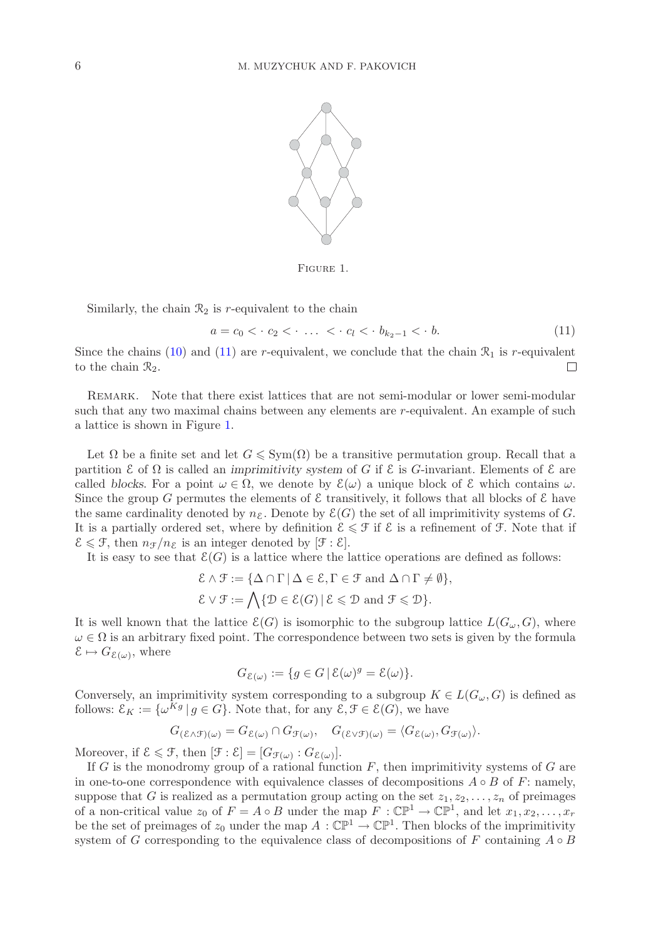

<span id="page-5-1"></span>Figure 1.

Similarly, the chain  $\mathcal{R}_2$  is r-equivalent to the chain

<span id="page-5-0"></span>
$$
a = c_0 < c_2 < \cdots < c_l < b_{k_2 - 1} < b. \tag{11}
$$

Since the chains [\(10\)](#page-4-1) and [\(11\)](#page-5-0) are r-equivalent, we conclude that the chain  $\mathcal{R}_1$  is r-equivalent to the chain  $\mathcal{R}_2$ .  $\Box$ 

REMARK. Note that there exist lattices that are not semi-modular or lower semi-modular such that any two maximal chains between any elements are r-equivalent. An example of such a lattice is shown in Figure [1.](#page-5-1)

Let  $\Omega$  be a finite set and let  $G \leqslant \text{Sym}(\Omega)$  be a transitive permutation group. Recall that a partition E of Ω is called an *imprimitivity system* of G if E is G-invariant. Elements of E are called *blocks*. For a point  $\omega \in \Omega$ , we denote by  $\mathcal{E}(\omega)$  a unique block of  $\mathcal E$  which contains  $\omega$ . Since the group G permutes the elements of  $\mathcal E$  transitively, it follows that all blocks of  $\mathcal E$  have the same cardinality denoted by  $n_{\mathcal{E}}$ . Denote by  $\mathcal{E}(G)$  the set of all imprimitivity systems of G. It is a partially ordered set, where by definition  $\mathcal{E} \leq \mathcal{F}$  if  $\mathcal{E}$  is a refinement of  $\mathcal{F}$ . Note that if  $\mathcal{E} \leqslant \mathcal{F}$ , then  $n_{\mathcal{F}}/n_{\mathcal{E}}$  is an integer denoted by  $[\mathcal{F} : \mathcal{E}].$ 

It is easy to see that  $\mathcal{E}(G)$  is a lattice where the lattice operations are defined as follows:

$$
\mathcal{E} \wedge \mathcal{F} := \{ \Delta \cap \Gamma \mid \Delta \in \mathcal{E}, \Gamma \in \mathcal{F} \text{ and } \Delta \cap \Gamma \neq \emptyset \},\
$$
  

$$
\mathcal{E} \vee \mathcal{F} := \bigwedge \{ \mathcal{D} \in \mathcal{E}(G) \mid \mathcal{E} \leq \mathcal{D} \text{ and } \mathcal{F} \leq \mathcal{D} \}.
$$

It is well known that the lattice  $\mathcal{E}(G)$  is isomorphic to the subgroup lattice  $L(G_{\omega}, G)$ , where  $\omega \in \Omega$  is an arbitrary fixed point. The correspondence between two sets is given by the formula  $\mathcal{E} \mapsto G_{\mathcal{E}(\omega)}$ , where

$$
G_{\mathcal{E}(\omega)} := \{ g \in G \, | \, \mathcal{E}(\omega)^g = \mathcal{E}(\omega) \}.
$$

Conversely, an imprimitivity system corresponding to a subgroup  $K \in L(G_\omega, G)$  is defined as follows:  $\mathcal{E}_K := \{ \omega^{Kg} \mid g \in G \}$ . Note that, for any  $\mathcal{E}, \mathcal{F} \in \mathcal{E}(G)$ , we have

$$
G_{(\mathcal{E}\wedge\mathcal{F})(\omega)}=G_{\mathcal{E}(\omega)}\cap G_{\mathcal{F}(\omega)},\quad G_{(\mathcal{E}\vee\mathcal{F})(\omega)}=\langle G_{\mathcal{E}(\omega)},G_{\mathcal{F}(\omega)}\rangle.
$$

Moreover, if  $\mathcal{E} \leq \mathcal{F}$ , then  $[\mathcal{F} : \mathcal{E}] = [G_{\mathcal{F}(\omega)} : G_{\mathcal{E}(\omega)}].$ 

If G is the monodromy group of a rational function  $F$ , then imprimitivity systems of G are in one-to-one correspondence with equivalence classes of decompositions  $A \circ B$  of F: namely, suppose that G is realized as a permutation group acting on the set  $z_1, z_2, \ldots, z_n$  of preimages of a non-critical value  $z_0$  of  $F = A \circ B$  under the map  $F : \mathbb{CP}^1 \to \mathbb{CP}^1$ , and let  $x_1, x_2, \ldots, x_r$ be the set of preimages of  $z_0$  under the map  $A : \mathbb{CP}^1 \to \mathbb{CP}^1$ . Then blocks of the imprimitivity system of G corresponding to the equivalence class of decompositions of F containing  $A \circ B$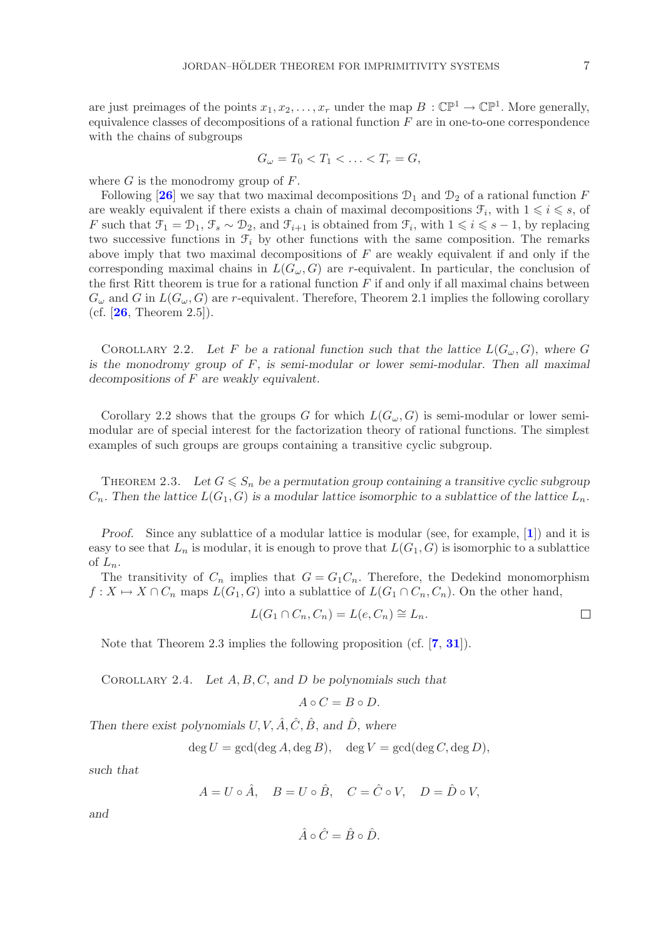are just preimages of the points  $x_1, x_2, \ldots, x_r$  under the map  $B : \mathbb{CP}^1 \to \mathbb{CP}^1$ . More generally, equivalence classes of decompositions of a rational function  $F$  are in one-to-one correspondence with the chains of subgroups

$$
G_{\omega}=T_0
$$

where G is the monodromy group of  $F$ .

Following [[26](#page-22-11)] we say that two maximal decompositions  $\mathcal{D}_1$  and  $\mathcal{D}_2$  of a rational function F are weakly equivalent if there exists a chain of maximal decompositions  $\mathcal{F}_i$ , with  $1 \leq i \leq s$ , of F such that  $\mathcal{F}_1 = \mathcal{D}_1, \mathcal{F}_s \sim \mathcal{D}_2$ , and  $\mathcal{F}_{i+1}$  is obtained from  $\mathcal{F}_i$ , with  $1 \leq i \leq s-1$ , by replacing two successive functions in  $\mathcal{F}_i$  by other functions with the same composition. The remarks above imply that two maximal decompositions of  $F$  are weakly equivalent if and only if the corresponding maximal chains in  $L(G_{\omega}, G)$  are r-equivalent. In particular, the conclusion of the first Ritt theorem is true for a rational function  $F$  if and only if all maximal chains between  $G_{\omega}$  and G in  $L(G_{\omega}, G)$  are r-equivalent. Therefore, Theorem 2.1 implies the following corollary (cf. [**[26](#page-22-11)**, Theorem 2.5]).

COROLLARY 2.2. Let F be a rational function such that the lattice  $L(G_{\omega}, G)$ , where G *is the monodromy group of* F*, is semi-modular or lower semi-modular. Then all maximal decompositions of* F *are weakly equivalent.*

Corollary 2.2 shows that the groups G for which  $L(G_{\omega}, G)$  is semi-modular or lower semimodular are of special interest for the factorization theory of rational functions. The simplest examples of such groups are groups containing a transitive cyclic subgroup.

THEOREM 2.3. Let  $G \leq S_n$  be a permutation group containing a transitive cyclic subgroup  $C_n$ . Then the lattice  $L(G_1, G)$  is a modular lattice isomorphic to a sublattice of the lattice  $L_n$ .

*Proof.* Since any sublattice of a modular lattice is modular (see, for example, [**[1](#page-22-19)**]) and it is easy to see that  $L_n$  is modular, it is enough to prove that  $L(G_1, G)$  is isomorphic to a sublattice of  $L_n$ .

The transitivity of  $C_n$  implies that  $G = G_1 C_n$ . Therefore, the Dedekind monomorphism  $f: X \mapsto X \cap C_n$  maps  $L(G_1, G)$  into a sublattice of  $L(G_1 \cap C_n, C_n)$ . On the other hand,

$$
L(G_1 \cap C_n, C_n) = L(e, C_n) \cong L_n.
$$

Note that Theorem 2.3 implies the following proposition (cf. [**[7](#page-22-1)**, **[31](#page-23-1)**]).

Corollary 2.4. *Let* A, B, C, *and* D *be polynomials such that*

$$
A \circ C = B \circ D.
$$

*Then there exist polynomials U, V,*  $\hat{A}, \hat{C}, \hat{B}$ *, and*  $\hat{D}$ *, where* 

$$
\deg U = \gcd(\deg A, \deg B), \quad \deg V = \gcd(\deg C, \deg D),
$$

*such that*

$$
A = U \circ \hat{A}, \quad B = U \circ \hat{B}, \quad C = \hat{C} \circ V, \quad D = \hat{D} \circ V,
$$

*and*

$$
\hat{A} \circ \hat{C} = \hat{B} \circ \hat{D}.
$$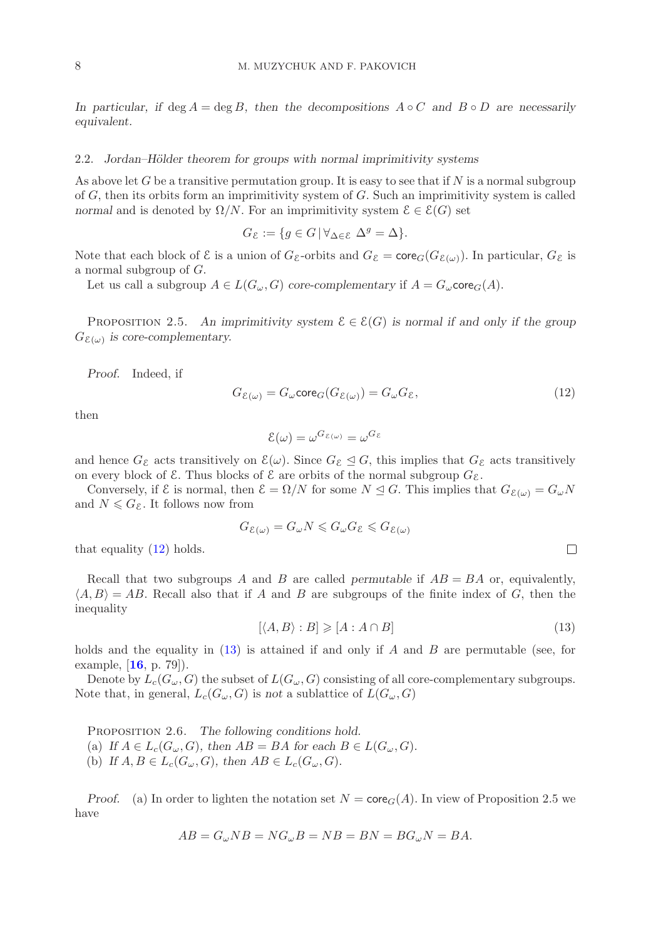*In particular, if* deg A = deg B*, then the decompositions* A ◦ C *and* B ◦ D *are necessarily equivalent.*

#### 2.2. *Jordan–Hölder theorem for groups with normal imprimitivity systems*

As above let G be a transitive permutation group. It is easy to see that if N is a normal subgroup of  $G$ , then its orbits form an imprimitivity system of  $G$ . Such an imprimitivity system is called *normal* and is denoted by  $\Omega/N$ . For an imprimitivity system  $\mathcal{E} \in \mathcal{E}(G)$  set

 $G_{\mathcal{E}} := \{q \in G \, | \, \forall_{\Delta \in \mathcal{E}} \, \Delta^g = \Delta \}.$ 

Note that each block of  $\mathcal{E}$  is a union of  $G_{\mathcal{E}}$ -orbits and  $G_{\mathcal{E}} = \text{core}_G(G_{\mathcal{E}(\omega)})$ . In particular,  $G_{\mathcal{E}}$  is a normal subgroup of  $G$ .

Let us call a subgroup  $A \in L(G_{\omega}, G)$  *core-complementary* if  $A = G_{\omega}$  *core*<sub>*G*</sub> $(A)$ *.* 

PROPOSITION 2.5. An imprimitivity system  $\mathcal{E} \in \mathcal{E}(G)$  is normal if and only if the group  $G_{\mathcal{E}(\omega)}$  *is core-complementary.* 

*Proof.* Indeed, if

<span id="page-7-0"></span>
$$
G_{\mathcal{E}(\omega)} = G_{\omega} \text{core}_G(G_{\mathcal{E}(\omega)}) = G_{\omega} G_{\mathcal{E}},\tag{12}
$$

then

$$
\mathcal{E}(\omega) = \omega^{G_{\mathcal{E}(\omega)}} = \omega^{G_{\mathcal{E}}}
$$

and hence  $G_{\mathcal{E}}$  acts transitively on  $\mathcal{E}(\omega)$ . Since  $G_{\mathcal{E}} \trianglelefteq G$ , this implies that  $G_{\mathcal{E}}$  acts transitively on every block of  $\mathcal E$ . Thus blocks of  $\mathcal E$  are orbits of the normal subgroup  $G_{\mathcal E}$ .

Conversely, if  $\mathcal{E}$  is normal, then  $\mathcal{E} = \Omega/N$  for some  $N \trianglelefteq G$ . This implies that  $G_{\mathcal{E}(\omega)} = G_{\omega}N$ and  $N \leqslant G_{\mathcal{E}}$ . It follows now from

$$
G_{\mathcal{E}(\omega)} = G_{\omega} N \leq G_{\omega} G_{\mathcal{E}} \leq G_{\mathcal{E}(\omega)}
$$

that equality  $(12)$  holds.

Recall that two subgroups A and B are called *permutable* if  $AB = BA$  or, equivalently,  $\langle A, B \rangle = AB$ . Recall also that if A and B are subgroups of the finite index of G, then the inequality

<span id="page-7-1"></span>
$$
[\langle A, B \rangle : B] \geqslant [A : A \cap B] \tag{13}
$$

 $\Box$ 

holds and the equality in  $(13)$  is attained if and only if A and B are permutable (see, for example, [**[16](#page-22-21)**, p. 79]).

Denote by  $L_c(G_\omega, G)$  the subset of  $L(G_\omega, G)$  consisting of all core-complementary subgroups. Note that, in general,  $L_c(G_\omega, G)$  is *not* a sublattice of  $L(G_\omega, G)$ 

PROPOSITION 2.6. *The following conditions hold.* (a) If  $A \in L_c(G_\omega, G)$ , then  $AB = BA$  for each  $B \in L(G_\omega, G)$ . (b) If  $A, B \in L_c(G_\omega, G)$ , then  $AB \in L_c(G_\omega, G)$ .

*Proof.* (a) In order to lighten the notation set  $N = \text{core}_G(A)$ . In view of Proposition 2.5 we have

$$
AB = G_{\omega}NB = NG_{\omega}B = NB = BN = BG_{\omega}N = BA.
$$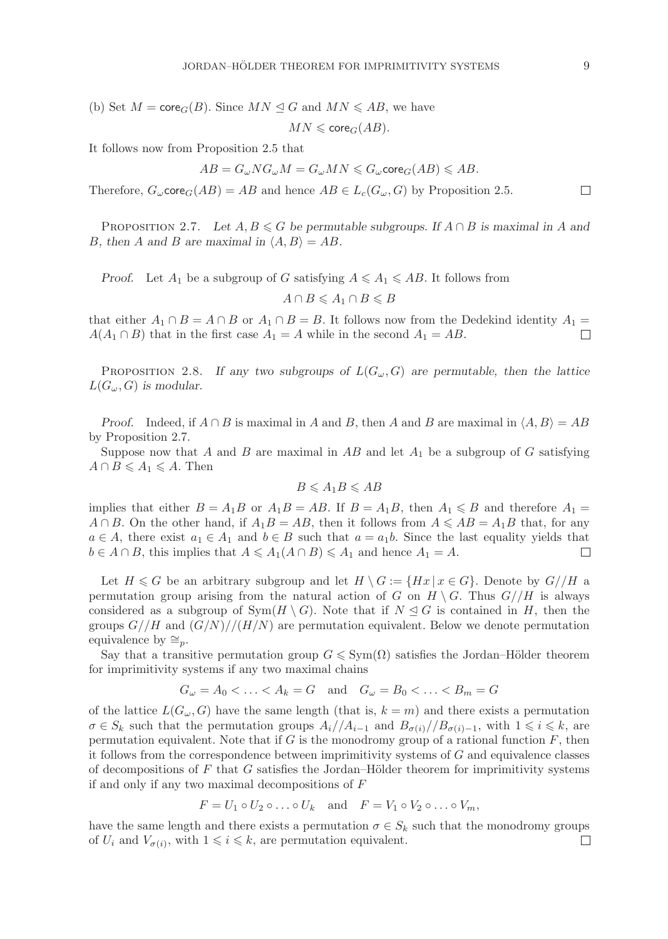(b) Set  $M = \text{core}_G(B)$ . Since  $MN \leq G$  and  $MN \leq AB$ , we have

$$
MN\leqslant \mathrm{core}_G(AB).
$$

It follows now from Proposition 2.5 that

$$
AB=G_\omega NG_\omega M=G_\omega MN\leqslant G_\omega \text{core}_G(AB)\leqslant AB.
$$

Therefore,  $G_{\omega}$ core $_G(AB) = AB$  and hence  $AB \in L_c(G_{\omega}, G)$  by Proposition 2.5.

PROPOSITION 2.7. Let  $A, B \le G$  be permutable subgroups. If  $A \cap B$  is maximal in A and B, then A and B are maximal in  $\langle A, B \rangle = AB$ .

*Proof.* Let  $A_1$  be a subgroup of G satisfying  $A \leq A_1 \leq AB$ . It follows from

 $A \cap B \leqslant A_1 \cap B \leqslant B$ 

that either  $A_1 \cap B = A \cap B$  or  $A_1 \cap B = B$ . It follows now from the Dedekind identity  $A_1 =$  $A(A_1 \cap B)$  that in the first case  $A_1 = A$  while in the second  $A_1 = AB$ .  $\Box$ 

PROPOSITION 2.8. If any two subgroups of  $L(G_\omega, G)$  are permutable, then the lattice  $L(G_\omega, G)$  is modular.

*Proof.* Indeed, if  $A \cap B$  is maximal in A and B, then A and B are maximal in  $\langle A, B \rangle = AB$ by Proposition 2.7.

Suppose now that A and B are maximal in AB and let  $A_1$  be a subgroup of G satisfying  $A \cap B \leqslant A_1 \leqslant A$ . Then

$$
B\leqslant A_1B\leqslant AB
$$

implies that either  $B = A_1 B$  or  $A_1 B = AB$ . If  $B = A_1 B$ , then  $A_1 \leq B$  and therefore  $A_1 =$  $A \cap B$ . On the other hand, if  $A_1B = AB$ , then it follows from  $A \le AB = A_1B$  that, for any  $a \in A$ , there exist  $a_1 \in A_1$  and  $b \in B$  such that  $a = a_1b$ . Since the last equality yields that  $b \in A \cap B$ , this implies that  $A \leq A_1(A \cap B) \leq A_1$  and hence  $A_1 = A$ .  $\Box$ 

Let  $H \le G$  be an arbitrary subgroup and let  $H \setminus G := \{ Hx \mid x \in G \}$ . Denote by  $G // H$  a permutation group arising from the natural action of G on  $H \setminus G$ . Thus  $G//H$  is always considered as a subgroup of  $\text{Sym}(H \setminus G)$ . Note that if  $N \trianglelefteq G$  is contained in H, then the groups  $G//H$  and  $(G/N)//(H/N)$  are permutation equivalent. Below we denote permutation equivalence by  $\cong_n$ .

Say that a transitive permutation group  $G \leqslant \text{Sym}(\Omega)$  satisfies the Jordan–Hölder theorem for imprimitivity systems if any two maximal chains

$$
G_{\omega} = A_0 < \ldots < A_k = G \quad \text{and} \quad G_{\omega} = B_0 < \ldots < B_m = G
$$

of the lattice  $L(G_{\omega}, G)$  have the same length (that is,  $k = m$ ) and there exists a permutation  $\sigma \in S_k$  such that the permutation groups  $A_i//A_{i-1}$  and  $B_{\sigma(i)}/B_{\sigma(i)-1}$ , with  $1 \leq i \leq k$ , are permutation equivalent. Note that if  $G$  is the monodromy group of a rational function  $F$ , then it follows from the correspondence between imprimitivity systems of  $G$  and equivalence classes of decompositions of  $F$  that  $G$  satisfies the Jordan–Hölder theorem for imprimitivity systems if and only if any two maximal decompositions of F

$$
F = U_1 \circ U_2 \circ \dots \circ U_k \quad \text{and} \quad F = V_1 \circ V_2 \circ \dots \circ V_m,
$$

have the same length and there exists a permutation  $\sigma \in S_k$  such that the monodromy groups of  $U_i$  and  $V_{\sigma(i)}$ , with  $1 \leqslant i \leqslant k$ , are permutation equivalent.  $\Box$ 

 $\Box$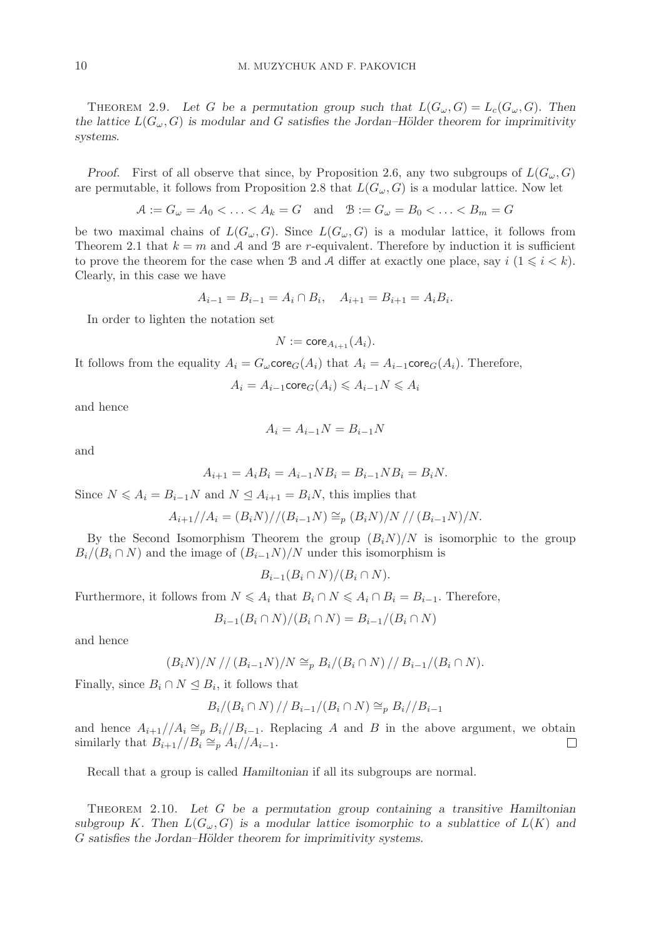THEOREM 2.9. Let G be a permutation group such that  $L(G_{\omega}, G) = L_c(G_{\omega}, G)$ . Then *the lattice*  $L(G_\omega, G)$  *is modular and* G *satisfies the Jordan–Hölder theorem for imprimitivity systems.*

*Proof.* First of all observe that since, by Proposition 2.6, any two subgroups of  $L(G_\omega, G)$ are permutable, it follows from Proposition 2.8 that  $L(G_\omega, G)$  is a modular lattice. Now let

$$
A := G_{\omega} = A_0 < \ldots < A_k = G
$$
 and  $B := G_{\omega} = B_0 < \ldots < B_m = G$ 

be two maximal chains of  $L(G_\omega, G)$ . Since  $L(G_\omega, G)$  is a modular lattice, it follows from Theorem 2.1 that  $k = m$  and A and B are r-equivalent. Therefore by induction it is sufficient to prove the theorem for the case when B and A differ at exactly one place, say  $i \ (1 \leq i \leq k)$ . Clearly, in this case we have

$$
A_{i-1} = B_{i-1} = A_i \cap B_i, \quad A_{i+1} = B_{i+1} = A_i B_i.
$$

In order to lighten the notation set

$$
N := \mathrm{core}_{A_{i+1}}(A_i).
$$

It follows from the equality  $A_i = G_{\omega}$ core $_G(A_i)$  that  $A_i = A_{i-1}$ core $_G(A_i)$ . Therefore,

$$
A_i = A_{i-1} \text{core}_G(A_i) \leqslant A_{i-1} N \leqslant A_i
$$

and hence

$$
A_i = A_{i-1}N = B_{i-1}N
$$

and

$$
A_{i+1} = A_i B_i = A_{i-1} N B_i = B_{i-1} N B_i = B_i N.
$$

Since  $N \leq A_i = B_{i-1}N$  and  $N \leq A_{i+1} = B_iN$ , this implies that

$$
A_{i+1}/A_i = (B_i N)/(B_{i-1} N) \cong_p (B_i N)/N // (B_{i-1} N)/N.
$$

By the Second Isomorphism Theorem the group  $(B_iN)/N$  is isomorphic to the group  $B_i/(B_i \cap N)$  and the image of  $(B_{i-1}N)/N$  under this isomorphism is

$$
B_{i-1}(B_i \cap N)/(B_i \cap N).
$$

Furthermore, it follows from  $N \leq A_i$  that  $B_i \cap N \leq A_i \cap B_i = B_{i-1}$ . Therefore,

$$
B_{i-1}(B_i \cap N)/(B_i \cap N) = B_{i-1}/(B_i \cap N)
$$

and hence

$$
(B_i N)/N // (B_{i-1} N)/N \cong_p B_i/(B_i \cap N) // B_{i-1}/(B_i \cap N).
$$

Finally, since  $B_i \cap N \leq B_i$ , it follows that

$$
B_i/(B_i \cap N) // B_{i-1}/(B_i \cap N) \cong_p B_i // B_{i-1}
$$

and hence  $A_{i+1}/A_i \cong_p B_i/\overline{B}_{i-1}$ . Replacing A and B in the above argument, we obtain similarly that  $B_{i+1}/\overline{B}_i \cong_p A_i/\overline{A}_{i-1}$ . similarly that  $B_{i+1}/\overline{B_i} \cong_{p} A_i/\overline{A_{i-1}}$ .

Recall that a group is called *Hamiltonian* if all its subgroups are normal.

Theorem 2.10. *Let* G *be a permutation group containing a transitive Hamiltonian* subgroup K. Then  $L(G_{\omega}, G)$  is a modular lattice isomorphic to a sublattice of  $L(K)$  and G satisfies the Jordan–Hölder theorem for imprimitivity systems.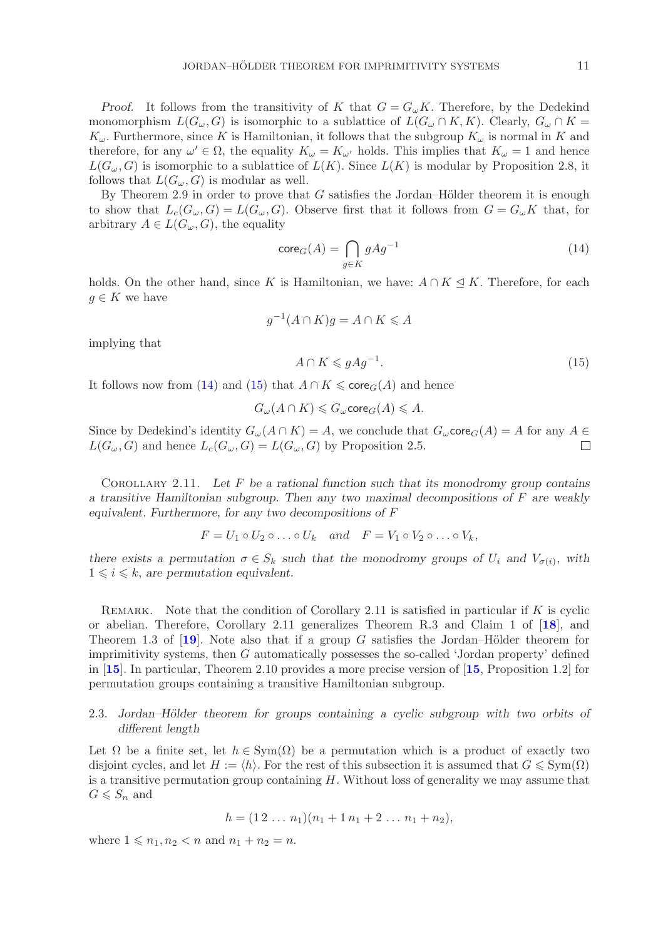*Proof.* It follows from the transitivity of K that  $G = G_{\omega}K$ . Therefore, by the Dedekind monomorphism  $L(G_{\omega}, G)$  is isomorphic to a sublattice of  $L(G_{\omega} \cap K, K)$ . Clearly,  $G_{\omega} \cap K =$  $K_{\omega}$ . Furthermore, since K is Hamiltonian, it follows that the subgroup  $K_{\omega}$  is normal in K and therefore, for any  $\omega' \in \Omega$ , the equality  $K_{\omega} = K_{\omega'}$  holds. This implies that  $K_{\omega} = 1$  and hence  $L(G_{\omega}, G)$  is isomorphic to a sublattice of  $L(K)$ . Since  $L(K)$  is modular by Proposition 2.8, it follows that  $L(G_{\omega}, G)$  is modular as well.

By Theorem 2.9 in order to prove that  $G$  satisfies the Jordan–Hölder theorem it is enough to show that  $L_c(G_{\omega}, G) = L(G_{\omega}, G)$ . Observe first that it follows from  $G = G_{\omega}K$  that, for arbitrary  $A \in L(G_{\omega}, G)$ , the equality

<span id="page-10-0"></span>
$$
\text{core}_G(A) = \bigcap_{g \in K} gAg^{-1} \tag{14}
$$

holds. On the other hand, since K is Hamiltonian, we have:  $A \cap K \triangleleft K$ . Therefore, for each  $g \in K$  we have

$$
g^{-1}(A \cap K)g = A \cap K \leqslant A
$$

implying that

<span id="page-10-1"></span>
$$
A \cap K \leqslant gAg^{-1}.\tag{15}
$$

It follows now from [\(14\)](#page-10-0) and [\(15\)](#page-10-1) that  $A \cap K \leqslant \mathsf{core}_G(A)$  and hence

$$
G_{\omega}(A \cap K) \leqslant G_{\omega} \operatorname{core}_G(A) \leqslant A.
$$

Since by Dedekind's identity  $G_{\omega}(A \cap K) = A$ , we conclude that  $G_{\omega}$ core $_G(A) = A$  for any  $A \in$  $L(G_{\omega}, G)$  and hence  $L_c(G_{\omega}, G) = L(G_{\omega}, G)$  by Proposition 2.5.  $\Box$ 

Corollary 2.11. *Let* F *be a rational function such that its monodromy group contains a transitive Hamiltonian subgroup. Then any two maximal decompositions of* F *are weakly equivalent. Furthermore, for any two decompositions of* F

$$
F = U_1 \circ U_2 \circ \ldots \circ U_k \quad and \quad F = V_1 \circ V_2 \circ \ldots \circ V_k,
$$

*there exists a permutation*  $\sigma \in S_k$  *such that the monodromy groups of*  $U_i$  *and*  $V_{\sigma(i)}$ *, with*  $1 \leq i \leq k$ , are permutation equivalent.

REMARK. Note that the condition of Corollary 2.11 is satisfied in particular if  $K$  is cyclic or abelian. Therefore, Corollary 2.11 generalizes Theorem R.3 and Claim 1 of [**[18](#page-22-9)**], and Theorem 1.3 of  $[19]$  $[19]$  $[19]$ . Note also that if a group G satisfies the Jordan–Hölder theorem for imprimitivity systems, then G automatically possesses the so-called 'Jordan property' defined in [**[15](#page-22-12)**]. In particular, Theorem 2.10 provides a more precise version of [**[15](#page-22-12)**, Proposition 1.2] for permutation groups containing a transitive Hamiltonian subgroup.

# 2.3. *Jordan–H¨older theorem for groups containing a cyclic subgroup with two orbits of different length*

Let  $\Omega$  be a finite set, let  $h \in \text{Sym}(\Omega)$  be a permutation which is a product of exactly two disjoint cycles, and let  $H := \langle h \rangle$ . For the rest of this subsection it is assumed that  $G \leqslant \text{Sym}(\Omega)$ is a transitive permutation group containing H. Without loss of generality we may assume that  $G \leqslant S_n$  and

$$
h = (1 \, 2 \, \dots \, n_1)(n_1 + 1 \, n_1 + 2 \, \dots \, n_1 + n_2),
$$

where  $1 \leq n_1, n_2 < n$  and  $n_1 + n_2 = n$ .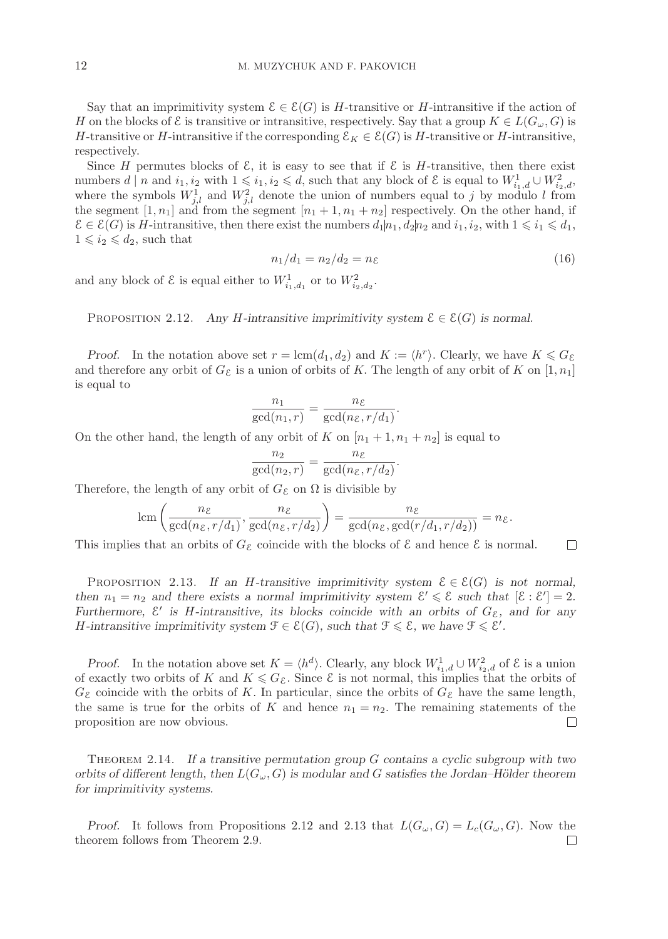Say that an imprimitivity system  $\mathcal{E} \in \mathcal{E}(G)$  is H-transitive or H-intransitive if the action of H on the blocks of  $\mathcal E$  is transitive or intransitive, respectively. Say that a group  $K \in L(G_\omega, G)$  is H-transitive or H-intransitive if the corresponding  $\mathcal{E}_K \in \mathcal{E}(G)$  is H-transitive or H-intransitive, respectively.

Since H permutes blocks of  $\mathcal{E}$ , it is easy to see that if  $\mathcal{E}$  is H-transitive, then there exist numbers  $d \mid n$  and  $i_1, i_2$  with  $1 \leqslant i_1, i_2 \leqslant d$ , such that any block of  $\mathcal{E}$  is equal to  $W_{i_1,d}^1 \cup W_{i_2,d}^2$ , where the symbols  $W_{j,l}^1$  and  $W_{j,l}^2$  denote the union of numbers equal to j by modulo l from the segment  $[1, n_1]$  and from the segment  $[n_1 + 1, n_1 + n_2]$  respectively. On the other hand, if  $\mathcal{E} \in \mathcal{E}(G)$  is H-intransitive, then there exist the numbers  $d_1 | n_1, d_2 | n_2$  and  $i_1, i_2$ , with  $1 \leq i_1 \leq d_1$ ,  $1 \leq i_2 \leq d_2$ , such that

$$
n_1/d_1 = n_2/d_2 = n_{\mathcal{E}} \tag{16}
$$

and any block of  $\mathcal{E}$  is equal either to  $W_{i_1,d_1}^1$  or to  $W_{i_2,d_2}^2$ .

PROPOSITION 2.12. *Any H*-intransitive imprimitivity system  $\mathcal{E} \in \mathcal{E}(G)$  is normal.

*Proof.* In the notation above set  $r = \text{lcm}(d_1, d_2)$  and  $K := \langle h^r \rangle$ . Clearly, we have  $K \leq G_{\mathcal{E}}$ and therefore any orbit of  $G_{\mathcal{E}}$  is a union of orbits of K. The length of any orbit of K on  $[1, n_1]$ is equal to

$$
\frac{n_1}{\gcd(n_1,r)} = \frac{n_{\mathcal{E}}}{\gcd(n_{\mathcal{E}}, r/d_1)}.
$$

On the other hand, the length of any orbit of K on  $[n_1 + 1, n_1 + n_2]$  is equal to

$$
\frac{n_2}{\gcd(n_2,r)} = \frac{n_{\mathcal{E}}}{\gcd(n_{\mathcal{E}},r/d_2)}.
$$

Therefore, the length of any orbit of  $G_{\mathcal{E}}$  on  $\Omega$  is divisible by

$$
\operatorname{lcm}\left(\frac{n_{\mathcal{E}}}{\operatorname{gcd}(n_{\mathcal{E}}, r/d_1)}, \frac{n_{\mathcal{E}}}{\operatorname{gcd}(n_{\mathcal{E}}, r/d_2)}\right) = \frac{n_{\mathcal{E}}}{\operatorname{gcd}(n_{\mathcal{E}}, \operatorname{gcd}(r/d_1, r/d_2))} = n_{\mathcal{E}}.
$$

This implies that an orbits of  $G_{\mathcal{E}}$  coincide with the blocks of  $\mathcal{E}$  and hence  $\mathcal{E}$  is normal.  $\Box$ 

PROPOSITION 2.13. If an H-transitive imprimitivity system  $\mathcal{E} \in \mathcal{E}(G)$  is not normal, then  $n_1 = n_2$  and there exists a normal imprimitivity system  $\mathcal{E}' \leq \mathcal{E}$  such that  $[\mathcal{E} : \mathcal{E}'] = 2$ . *Furthermore,*  $\mathcal{E}'$  *is H-intransitive, its blocks coincide with an orbits of*  $G_{\mathcal{E}}$ *, and for any H*-intransitive imprimitivity system  $\mathcal{F} \in \mathcal{E}(G)$ , such that  $\mathcal{F} \leq \mathcal{E}$ , we have  $\mathcal{F} \leq \mathcal{E}'$ .

*Proof.* In the notation above set  $K = \langle h^d \rangle$ . Clearly, any block  $W^1_{i_1,d} \cup W^2_{i_2,d}$  of  $\mathcal E$  is a union of exactly two orbits of K and  $K \leq G_{\mathcal{E}}$ . Since  $\mathcal{E}$  is not normal, this implies that the orbits of  $G_{\mathcal{E}}$  coincide with the orbits of K. In particular, since the orbits of  $G_{\mathcal{E}}$  have the same length, the same is true for the orbits of K and hence  $n_1 = n_2$ . The remaining statements of the proposition are now obvious.  $\Box$ 

Theorem 2.14. *If a transitive permutation group* G *contains a cyclic subgroup with two orbits of different length, then* L(Gω, G) *is modular and* G *satisfies the Jordan–H¨older theorem for imprimitivity systems.*

*Proof.* It follows from Propositions 2.12 and 2.13 that  $L(G_{\omega}, G) = L_c(G_{\omega}, G)$ . Now the theorem follows from Theorem 2.9. $\Box$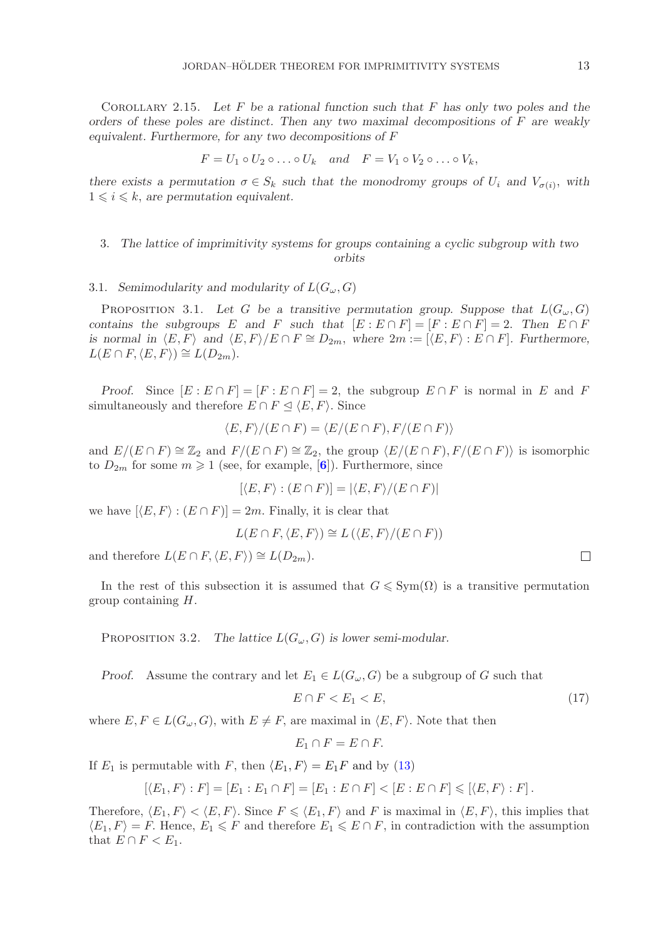Corollary 2.15. *Let* F *be a rational function such that* F *has only two poles and the orders of these poles are distinct. Then any two maximal decompositions of* F *are weakly equivalent. Furthermore, for any two decompositions of* F

$$
F = U_1 \circ U_2 \circ \ldots \circ U_k \quad and \quad F = V_1 \circ V_2 \circ \ldots \circ V_k,
$$

*there exists a permutation*  $\sigma \in S_k$  *such that the monodromy groups of*  $U_i$  *and*  $V_{\sigma(i)}$ *, with*  $1 \leq i \leq k$ , are permutation equivalent.

# 3. *The lattice of imprimitivity systems for groups containing a cyclic subgroup with two orbits*

# 3.1. *Semimodularity and modularity of*  $L(G_\omega, G)$

PROPOSITION 3.1. Let G be a transitive permutation group. Suppose that  $L(G_{\omega}, G)$ *contains the subgroups* E and F *such that*  $[E : E \cap F] = [F : E \cap F] = 2$ . Then  $E \cap F$ *is normal in*  $\langle E, F \rangle$  *and*  $\langle E, F \rangle / E \cap F \cong D_{2m}$ , where  $2m := [\langle E, F \rangle : E \cap F]$ . Furthermore,  $L(E \cap F, \langle E, F \rangle) \cong L(D_{2m}).$ 

*Proof.* Since  $[E : E \cap F] = [F : E \cap F] = 2$ , the subgroup  $E \cap F$  is normal in E and F simultaneously and therefore  $E \cap F \leq \langle E, F \rangle$ . Since

$$
\langle E, F \rangle / (E \cap F) = \langle E / (E \cap F), F / (E \cap F) \rangle
$$

and  $E/(E \cap F) \cong \mathbb{Z}_2$  and  $F/(E \cap F) \cong \mathbb{Z}_2$ , the group  $\langle E/(E \cap F), F/(E \cap F) \rangle$  is isomorphic to  $D_{2m}$  for some  $m \geq 1$  (see, for example,  $[6]$  $[6]$  $[6]$ ). Furthermore, since

$$
[\langle E, F \rangle : (E \cap F)] = |\langle E, F \rangle / (E \cap F)|
$$

we have  $[\langle E, F \rangle : (E \cap F)] = 2m$ . Finally, it is clear that

$$
L(E \cap F, \langle E, F \rangle) \cong L(\langle E, F \rangle / (E \cap F))
$$

and therefore  $L(E \cap F, \langle E, F \rangle) \cong L(D_{2m}).$ 

In the rest of this subsection it is assumed that  $G \leqslant \text{Sym}(\Omega)$  is a transitive permutation group containing H.

PROPOSITION 3.2. *The lattice*  $L(G_\omega, G)$  *is lower semi-modular.* 

*Proof.* Assume the contrary and let  $E_1 \in L(G_\omega, G)$  be a subgroup of G such that

<span id="page-12-0"></span>
$$
E \cap F < E_1 < E,\tag{17}
$$

where  $E, F \in L(G_\omega, G)$ , with  $E \neq F$ , are maximal in  $\langle E, F \rangle$ . Note that then

$$
E_1 \cap F = E \cap F.
$$

If  $E_1$  is permutable with F, then  $\langle E_1, F \rangle = E_1 F$  and by [\(13\)](#page-7-1)

$$
[\langle E_1, F \rangle : F] = [E_1 : E_1 \cap F] = [E_1 : E \cap F] < [E : E \cap F] \leq [\langle E, F \rangle : F].
$$

Therefore,  $\langle E_1, F \rangle < \langle E, F \rangle$ . Since  $F \leq \langle E_1, F \rangle$  and F is maximal in  $\langle E, F \rangle$ , this implies that  $\langle E_1, F \rangle = F$ . Hence,  $E_1 \leq F$  and therefore  $E_1 \leqslant E \cap F$ , in contradiction with the assumption that  $E \cap F < E_1$ .

 $\Box$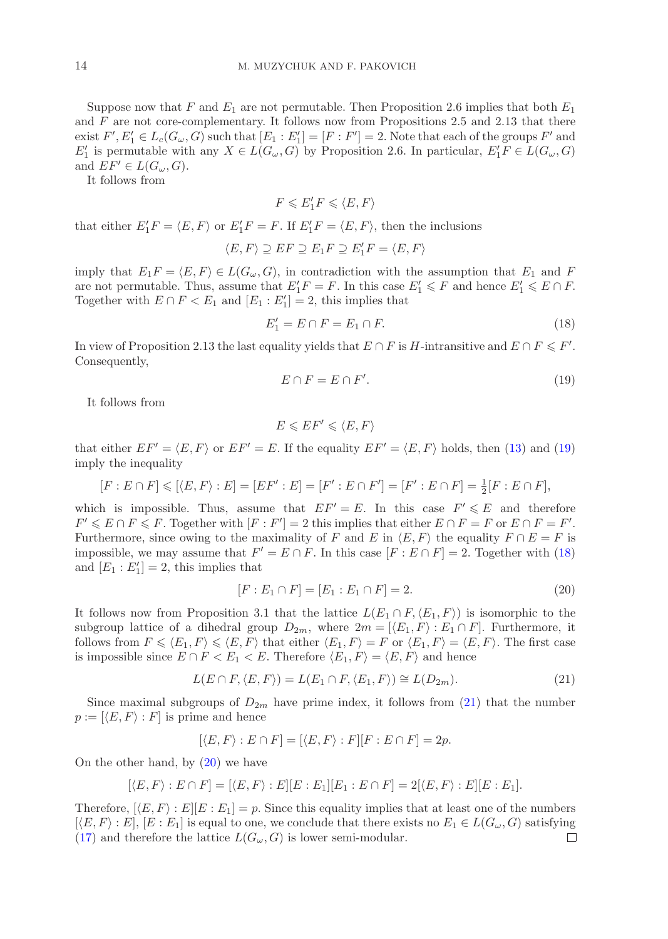Suppose now that F and  $E_1$  are not permutable. Then Proposition 2.6 implies that both  $E_1$ and  $F$  are not core-complementary. It follows now from Propositions 2.5 and 2.13 that there exist  $F', E'_1 \in L_c(G_\omega, G)$  such that  $[E_1 : E'_1] = [F : F'] = 2$ . Note that each of the groups  $F'$  and  $E'_1$  is permutable with any  $X \in L(G_\omega, G)$  by Proposition 2.6. In particular,  $E'_1 F \in L(G_\omega, G)$ and  $EF' \in L(G_{\omega}, G)$ .

It follows from

 $F \leqslant E_1' F \leqslant \langle E, F \rangle$ 

that either  $E_1'F = \langle E, F \rangle$  or  $E_1'F = F$ . If  $E_1'F = \langle E, F \rangle$ , then the inclusions

$$
\langle E, F \rangle \supseteq EF \supseteq E_1F \supseteq E_1'F = \langle E, F \rangle
$$

imply that  $E_1 F = \langle E, F \rangle \in L(G_\omega, G)$ , in contradiction with the assumption that  $E_1$  and F are not permutable. Thus, assume that  $E'_1F = F$ . In this case  $E'_1 \leq F$  and hence  $E'_1 \leq F \cap F$ . Together with  $E \cap F < E_1$  and  $[E_1 : E_1'] = 2$ , this implies that

<span id="page-13-1"></span>
$$
E_1' = E \cap F = E_1 \cap F. \tag{18}
$$

In view of Proposition 2.13 the last equality yields that  $E \cap F$  is H-intransitive and  $E \cap F \leq F'$ . Consequently,

<span id="page-13-0"></span>
$$
E \cap F = E \cap F'.\tag{19}
$$

It follows from

$$
E\leqslant EF'\leqslant \langle E,F\rangle
$$

that either  $EF' = \langle E, F \rangle$  or  $EF' = E$ . If the equality  $EF' = \langle E, F \rangle$  holds, then [\(13\)](#page-7-1) and [\(19\)](#page-13-0) imply the inequality

$$
[F : E \cap F] \leqslant [\langle E, F \rangle : E] = [EF' : E] = [F' : E \cap F'] = [F' : E \cap F] = \frac{1}{2}[F : E \cap F],
$$

which is impossible. Thus, assume that  $EF' = E$ . In this case  $F' \leq E$  and therefore  $F' \leqslant E \cap F \leqslant F$ . Together with  $[F : F'] = 2$  this implies that either  $E \cap F = F$  or  $E \cap F = F'$ . Furthermore, since owing to the maximality of F and E in  $\langle E, F \rangle$  the equality  $F \cap E = F$  is impossible, we may assume that  $F' = E \cap F$ . In this case  $[F : E \cap F] = 2$ . Together with [\(18\)](#page-13-1) and  $[E_1 : E_1'] = 2$ , this implies that

<span id="page-13-3"></span>
$$
[F : E_1 \cap F] = [E_1 : E_1 \cap F] = 2.
$$
\n(20)

It follows now from Proposition 3.1 that the lattice  $L(E_1 \cap F, \langle E_1, F \rangle)$  is isomorphic to the subgroup lattice of a dihedral group  $D_{2m}$ , where  $2m = \{ \langle E_1, F \rangle : E_1 \cap F \}$ . Furthermore, it follows from  $F \leq \langle E_1, F \rangle \leq \langle E, F \rangle$  that either  $\langle E_1, F \rangle = F$  or  $\langle E_1, F \rangle = \langle E, F \rangle$ . The first case is impossible since  $E \cap F \langle E_1 \rangle \langle E_1 \rangle$ . Therefore  $\langle E_1, F \rangle \langle E_1, F \rangle$  and hence

<span id="page-13-2"></span>
$$
L(E \cap F, \langle E, F \rangle) = L(E_1 \cap F, \langle E_1, F \rangle) \cong L(D_{2m}).
$$
\n(21)

Since maximal subgroups of  $D_{2m}$  have prime index, it follows from [\(21\)](#page-13-2) that the number  $p := [\langle E, F \rangle : F]$  is prime and hence

$$
[\langle E, F \rangle : E \cap F] = [\langle E, F \rangle : F][F : E \cap F] = 2p.
$$

On the other hand, by  $(20)$  we have

$$
[\langle E, F \rangle : E \cap F] = [\langle E, F \rangle : E][E : E_1][E_1 : E \cap F] = 2[\langle E, F \rangle : E][E : E_1].
$$

Therefore,  $[\langle E, F \rangle : E][E : E_1] = p$ . Since this equality implies that at least one of the numbers  $[\langle E, F \rangle : E], [E : E_1]$  is equal to one, we conclude that there exists no  $E_1 \in L(G_\omega, G)$  satisfying [\(17\)](#page-12-0) and therefore the lattice  $L(G_{\omega}, G)$  is lower semi-modular.  $\Box$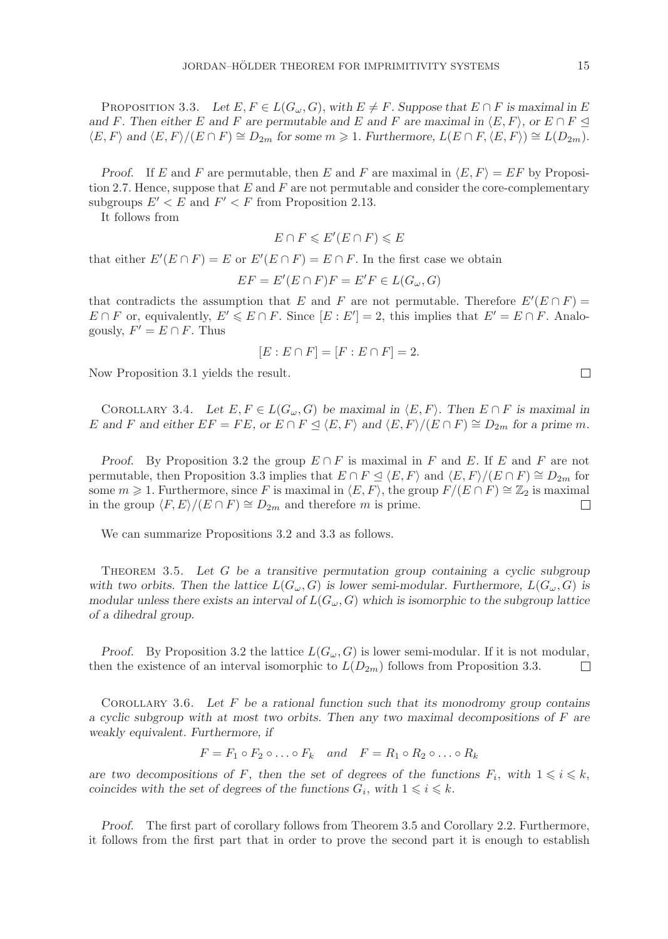PROPOSITION 3.3. Let  $E, F \in L(G_\omega, G)$ , with  $E \neq F$ . Suppose that  $E \cap F$  is maximal in E *and* F. Then either E and F are permutable and E and F are maximal in  $\langle E, F \rangle$ , or  $E \cap F \leq$  $\langle E, F \rangle$  and  $\langle E, F \rangle / (E \cap F) \cong D_{2m}$  for some  $m \geq 1$ . Furthermore,  $L(E \cap F, \langle E, F \rangle) \cong L(D_{2m})$ .

*Proof.* If E and F are permutable, then E and F are maximal in  $\langle E, F \rangle = EF$  by Proposition 2.7. Hence, suppose that  $E$  and  $F$  are not permutable and consider the core-complementary subgroups  $E' < E$  and  $F' < F$  from Proposition 2.13.

It follows from

$$
E \cap F \leqslant E'(E \cap F) \leqslant E
$$

that either  $E'(E \cap F) = E$  or  $E'(E \cap F) = E \cap F$ . In the first case we obtain

$$
EF = E'(E \cap F)F = E'F \in L(G_{\omega}, G)
$$

that contradicts the assumption that E and F are not permutable. Therefore  $E'(E \cap F)$  $E \cap F$  or, equivalently,  $E' \leqslant E \cap F$ . Since  $[E : E'] = 2$ , this implies that  $E' = E \cap F$ . Analogously,  $F' = E \cap F$ . Thus

$$
[E: E \cap F] = [F: E \cap F] = 2.
$$

Now Proposition 3.1 yields the result.

COROLLARY 3.4. Let  $E, F \in L(G_\omega, G)$  be maximal in  $\langle E, F \rangle$ . Then  $E \cap F$  is maximal in E and F and either  $EF = FE$ , or  $E \cap F \subseteq \langle E, F \rangle$  and  $\langle E, F \rangle / (E \cap F) \cong D_{2m}$  for a prime m.

*Proof.* By Proposition 3.2 the group  $E \cap F$  is maximal in F and E. If E and F are not permutable, then Proposition 3.3 implies that  $E \cap F \subseteq \langle E, F \rangle$  and  $\langle E, F \rangle / (E \cap F) \cong D_{2m}$  for some  $m \geq 1$ . Furthermore, since F is maximal in  $\langle E, F \rangle$ , the group  $F/(E \cap F) \cong \mathbb{Z}_2$  is maximal in the group  $\langle F, E \rangle / (E \cap F) \cong D_{2m}$  and therefore m is prime.  $\Box$ 

We can summarize Propositions 3.2 and 3.3 as follows.

Theorem 3.5. *Let* G *be a transitive permutation group containing a cyclic subgroup* with two orbits. Then the lattice  $L(G_\omega, G)$  is lower semi-modular. Furthermore,  $L(G_\omega, G)$  is *modular unless there exists an interval of*  $L(G_\omega, G)$  *which is isomorphic to the subgroup lattice of a dihedral group.*

*Proof.* By Proposition 3.2 the lattice  $L(G_{\omega}, G)$  is lower semi-modular. If it is not modular, then the existence of an interval isomorphic to  $L(D_{2m})$  follows from Proposition 3.3.  $\Box$ 

Corollary 3.6. *Let* F *be a rational function such that its monodromy group contains a cyclic subgroup with at most two orbits. Then any two maximal decompositions of* F *are weakly equivalent. Furthermore, if*

 $F = F_1 \circ F_2 \circ \ldots \circ F_k$  and  $F = R_1 \circ R_2 \circ \ldots \circ R_k$ 

*are two decompositions of* F, then the set of degrees of the functions  $F_i$ , with  $1 \leq i \leq k$ , *coincides with the set of degrees of the functions*  $G_i$ , with  $1 \leq i \leq k$ .

*Proof.* The first part of corollary follows from Theorem 3.5 and Corollary 2.2. Furthermore, it follows from the first part that in order to prove the second part it is enough to establish

 $\Box$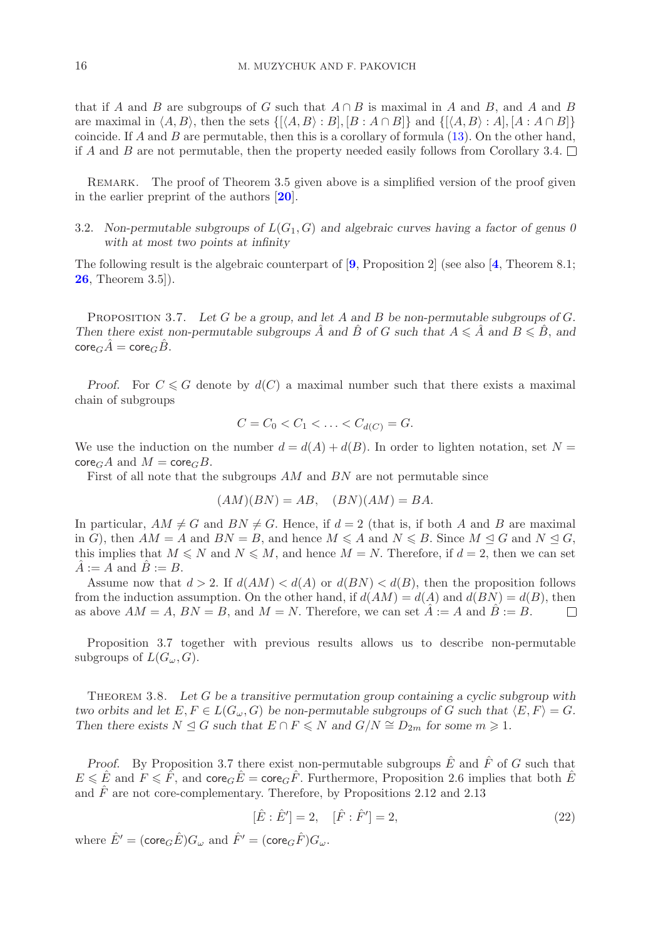that if A and B are subgroups of G such that  $A \cap B$  is maximal in A and B, and A and B are maximal in  $\langle A, B \rangle$ , then the sets  $\{ [\langle A, B \rangle : B], [B : A \cap B] \}$  and  $\{ [\langle A, B \rangle : A], [A : A \cap B] \}$ coincide. If A and B are permutable, then this is a corollary of formula  $(13)$ . On the other hand, if A and B are not permutable, then the property needed easily follows from Corollary 3.4.  $\Box$ 

REMARK. The proof of Theorem 3.5 given above is a simplified version of the proof given in the earlier preprint of the authors [**[20](#page-22-18)**].

3.2. *Non-permutable subgroups of* L(G1, G) *and algebraic curves having a factor of genus 0 with at most two points at infinity*

The following result is the algebraic counterpart of [**[9](#page-22-23)**, Proposition 2] (see also [**[4](#page-22-2)**, Theorem 8.1; **[26](#page-22-11)**, Theorem 3.5]).

Proposition 3.7. *Let* G *be a group, and let* A *and* B *be non-permutable subgroups of* G*. Then there exist non-permutable subgroups*  $\hat{A}$  and  $\hat{B}$  of G such that  $A \leq \hat{A}$  and  $B \leq \hat{B}$ , and  $\mathsf{core}_G\hat{A} = \mathsf{core}_G\hat{B}.$ 

*Proof.* For  $C \le G$  denote by  $d(C)$  a maximal number such that there exists a maximal chain of subgroups

$$
C = C_0 < C_1 < \ldots < C_{d(C)} = G.
$$

We use the induction on the number  $d = d(A) + d(B)$ . In order to lighten notation, set  $N =$  $\operatorname{core}_G A$  and  $M = \operatorname{core}_G B$ .

First of all note that the subgroups AM and BN are not permutable since

$$
(AM)(BN) = AB, \quad (BN)(AM) = BA.
$$

In particular,  $AM \neq G$  and  $BN \neq G$ . Hence, if  $d = 2$  (that is, if both A and B are maximal in G), then  $AM = A$  and  $BN = B$ , and hence  $M \leq A$  and  $N \leq B$ . Since  $M \leq G$  and  $N \leq G$ , this implies that  $M \leq N$  and  $N \leq M$ , and hence  $M = N$ . Therefore, if  $d = 2$ , then we can set  $A := A$  and  $B := B$ .

Assume now that  $d > 2$ . If  $d(AM) < d(A)$  or  $d(BN) < d(B)$ , then the proposition follows from the induction assumption. On the other hand, if  $d(AM) = d(A)$  and  $d(BN) = d(B)$ , then as above  $AM = A$ ,  $BN = B$ , and  $M = N$ . Therefore, we can set  $\tilde{A} := A$  and  $\tilde{B} := B$ .  $\Box$ 

Proposition 3.7 together with previous results allows us to describe non-permutable subgroups of  $L(G_\omega, G)$ .

Theorem 3.8. *Let* G *be a transitive permutation group containing a cyclic subgroup with two orbits and let*  $E, F \in L(G_\omega, G)$  *be non-permutable subgroups of* G *such that*  $\langle E, F \rangle = G$ *. Then there exists*  $N \trianglelefteq G$  *such that*  $E \cap F \leq N$  *and*  $G/N \cong D_{2m}$  *for some*  $m \geq 1$ *.* 

*Proof.* By Proposition 3.7 there exist non-permutable subgroups  $\hat{E}$  and  $\hat{F}$  of G such that  $E \leq \hat{E}$  and  $F \leq \hat{F}$ , and  $\text{core}_G \hat{E} = \text{core}_G \hat{F}$ . Furthermore, Proposition 2.6 implies that both  $\hat{E}$ and  $\hat{F}$  are not core-complementary. Therefore, by Propositions 2.12 and 2.13

<span id="page-15-0"></span>
$$
[\hat{E} : \hat{E}'] = 2, \quad [\hat{F} : \hat{F}'] = 2,
$$
\n(22)

where  $\hat{E}' = (\text{core}_G \hat{E}) G_{\omega}$  and  $\hat{F}' = (\text{core}_G \hat{F}) G_{\omega}$ .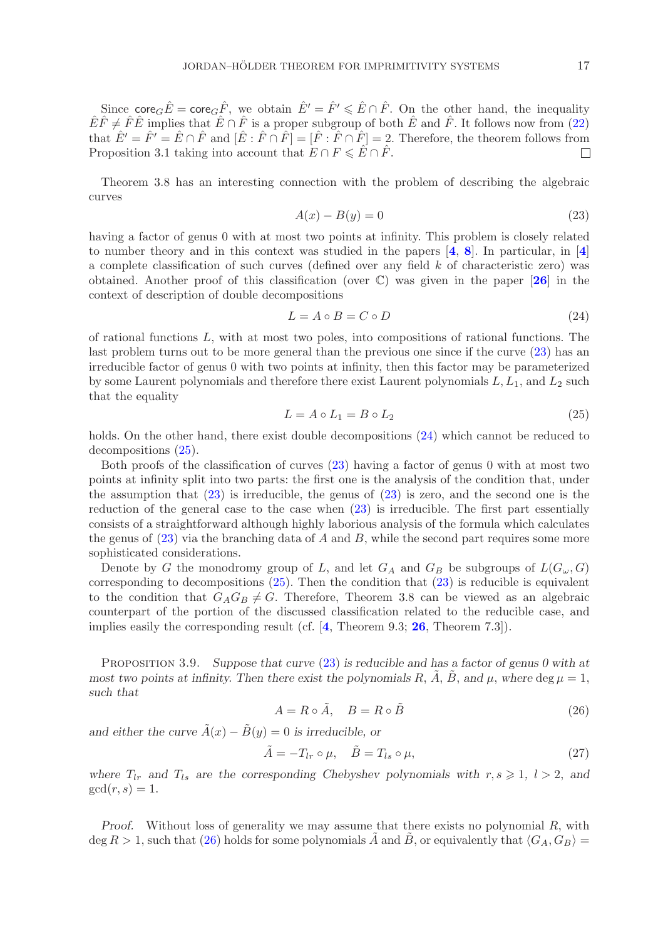Since core<sub>G</sub> $\hat{E}$  = core<sub>G</sub> $\hat{F}$ , we obtain  $\hat{E}' = \hat{F}' \leq \hat{E} \cap \hat{F}$ . On the other hand, the inequality  $\hat{E}\hat{F}\neq \hat{F}\hat{E}$  implies that  $\hat{E}\cap \hat{F}$  is a proper subgroup of both  $\hat{E}$  and  $\hat{F}$ . It follows now from [\(22\)](#page-15-0) that  $\hat{E}' = \hat{F}' = \hat{E} \cap \hat{F}$  and  $[\hat{E} : \hat{F} \cap \hat{F}] = [\hat{F} : \hat{F} \cap \hat{F}] = 2$ . Therefore, the theorem follows from Proposition 3.1 taking into account that  $E \cap F \leq \hat{E} \cap \hat{F}$ .  $\Box$ 

Theorem 3.8 has an interesting connection with the problem of describing the algebraic curves

<span id="page-16-0"></span>
$$
A(x) - B(y) = 0 \tag{23}
$$

having a factor of genus 0 with at most two points at infinity. This problem is closely related to number theory and in this context was studied in the papers [**[4](#page-22-2)**, **[8](#page-22-3)**]. In particular, in [**[4](#page-22-2)**] a complete classification of such curves (defined over any field  $k$  of characteristic zero) was obtained. Another proof of this classification (over C) was given in the paper [**[26](#page-22-11)**] in the context of description of double decompositions

<span id="page-16-1"></span>
$$
L = A \circ B = C \circ D \tag{24}
$$

of rational functions  $L$ , with at most two poles, into compositions of rational functions. The last problem turns out to be more general than the previous one since if the curve [\(23\)](#page-16-0) has an irreducible factor of genus 0 with two points at infinity, then this factor may be parameterized by some Laurent polynomials and therefore there exist Laurent polynomials  $L, L_1$ , and  $L_2$  such that the equality

<span id="page-16-2"></span>
$$
L = A \circ L_1 = B \circ L_2 \tag{25}
$$

holds. On the other hand, there exist double decompositions [\(24\)](#page-16-1) which cannot be reduced to decompositions [\(25\)](#page-16-2).

Both proofs of the classification of curves [\(23\)](#page-16-0) having a factor of genus 0 with at most two points at infinity split into two parts: the first one is the analysis of the condition that, under the assumption that [\(23\)](#page-16-0) is irreducible, the genus of [\(23\)](#page-16-0) is zero, and the second one is the reduction of the general case to the case when [\(23\)](#page-16-0) is irreducible. The first part essentially consists of a straightforward although highly laborious analysis of the formula which calculates the genus of  $(23)$  via the branching data of A and B, while the second part requires some more sophisticated considerations.

Denote by G the monodromy group of L, and let  $G_A$  and  $G_B$  be subgroups of  $L(G_\omega, G)$ corresponding to decompositions [\(25\)](#page-16-2). Then the condition that [\(23\)](#page-16-0) is reducible is equivalent to the condition that  $G_A G_B \neq G$ . Therefore, Theorem 3.8 can be viewed as an algebraic counterpart of the portion of the discussed classification related to the reducible case, and implies easily the corresponding result (cf. [**[4](#page-22-2)**, Theorem 9.3; **[26](#page-22-11)**, Theorem 7.3]).

Proposition 3.9. *Suppose that curve* [\(23\)](#page-16-0) *is reducible and has a factor of genus 0 with at most two points at infinity. Then there exist the polynomials* R,  $\hat{A}$ ,  $\hat{B}$ , and  $\mu$ , *where* deg  $\mu = 1$ , *such that*

<span id="page-16-3"></span>
$$
A = R \circ \tilde{A}, \quad B = R \circ \tilde{B} \tag{26}
$$

*and either the curve*  $\tilde{A}(x) - \tilde{B}(y) = 0$  *is irreducible, or* 

$$
\tilde{A} = -T_{lr} \circ \mu, \quad \tilde{B} = T_{ls} \circ \mu,
$$
\n(27)

*where*  $T_{lr}$  *and*  $T_{ls}$  *are the corresponding Chebyshev polynomials with*  $r, s \geq 1, l > 2$ , *and*  $gcd(r, s)=1.$ 

*Proof.* Without loss of generality we may assume that there exists no polynomial R, with deg  $R > 1$ , such that [\(26\)](#page-16-3) holds for some polynomials  $\tilde{A}$  and  $\tilde{B}$ , or equivalently that  $\langle G_A, G_B \rangle =$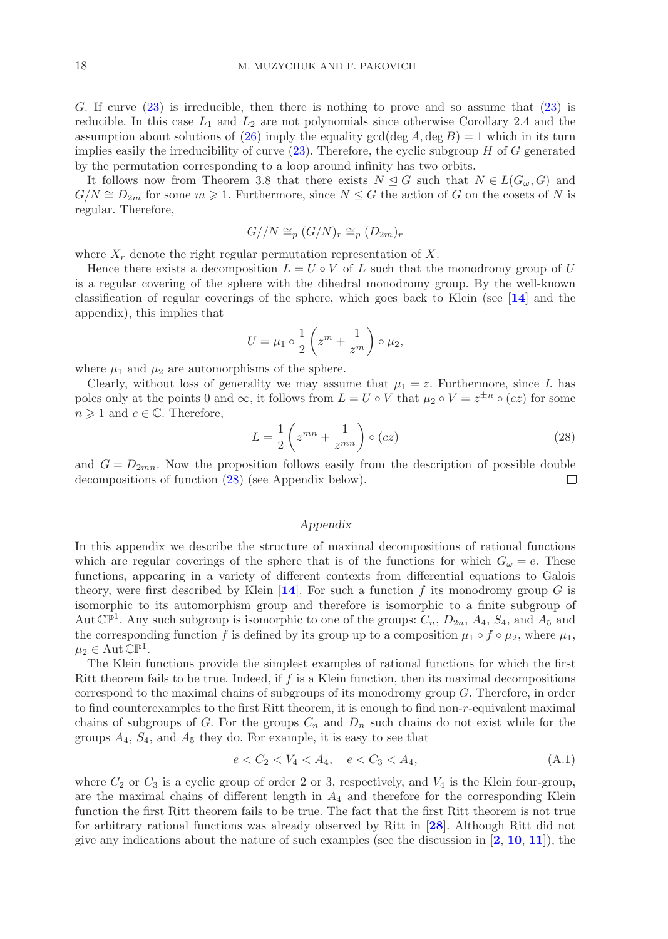G. If curve [\(23\)](#page-16-0) is irreducible, then there is nothing to prove and so assume that [\(23\)](#page-16-0) is reducible. In this case  $L_1$  and  $L_2$  are not polynomials since otherwise Corollary 2.4 and the assumption about solutions of [\(26\)](#page-16-3) imply the equality gcd(deg A, deg B) = 1 which in its turn implies easily the irreducibility of curve  $(23)$ . Therefore, the cyclic subgroup H of G generated by the permutation corresponding to a loop around infinity has two orbits.

It follows now from Theorem 3.8 that there exists  $N \trianglelefteq G$  such that  $N \in L(G_{\omega}, G)$  and  $G/N \cong D_{2m}$  for some  $m \geq 1$ . Furthermore, since  $N \trianglelefteq G$  the action of G on the cosets of N is regular. Therefore,

$$
G//N \cong_p (G/N)_r \cong_p (D_{2m})_r
$$

where  $X_r$  denote the right regular permutation representation of X.

Hence there exists a decomposition  $L = U \circ V$  of L such that the monodromy group of U is a regular covering of the sphere with the dihedral monodromy group. By the well-known classification of regular coverings of the sphere, which goes back to Klein (see [**[14](#page-22-13)**] and the appendix), this implies that

$$
U = \mu_1 \circ \frac{1}{2} \left( z^m + \frac{1}{z^m} \right) \circ \mu_2,
$$

where  $\mu_1$  and  $\mu_2$  are automorphisms of the sphere.

Clearly, without loss of generality we may assume that  $\mu_1 = z$ . Furthermore, since L has poles only at the points 0 and  $\infty$ , it follows from  $L = U \circ V$  that  $\mu_2 \circ V = z^{\pm n} \circ (cz)$  for some  $n \geqslant 1$  and  $c \in \mathbb{C}$ . Therefore,

<span id="page-17-0"></span>
$$
L = \frac{1}{2} \left( z^{mn} + \frac{1}{z^{mn}} \right) \circ (cz) \tag{28}
$$

and  $G = D_{2mn}$ . Now the proposition follows easily from the description of possible double decompositions of function [\(28\)](#page-17-0) (see Appendix below).  $\Box$ 

### *Appendix*

In this appendix we describe the structure of maximal decompositions of rational functions which are regular coverings of the sphere that is of the functions for which  $G_{\omega} = e$ . These functions, appearing in a variety of different contexts from differential equations to Galois theory, were first described by Klein  $[14]$  $[14]$  $[14]$ . For such a function f its monodromy group G is isomorphic to its automorphism group and therefore is isomorphic to a finite subgroup of Aut  $\mathbb{CP}^1$ . Any such subgroup is isomorphic to one of the groups:  $C_n$ ,  $D_{2n}$ ,  $A_4$ ,  $S_4$ , and  $A_5$  and the corresponding function f is defined by its group up to a composition  $\mu_1 \circ f \circ \mu_2$ , where  $\mu_1$ ,  $\mu_2 \in \mathrm{Aut}\,\mathbb{CP}^1$ .

The Klein functions provide the simplest examples of rational functions for which the first Ritt theorem fails to be true. Indeed, if  $f$  is a Klein function, then its maximal decompositions correspond to the maximal chains of subgroups of its monodromy group  $G$ . Therefore, in order to find counterexamples to the first Ritt theorem, it is enough to find non-r-equivalent maximal chains of subgroups of G. For the groups  $C_n$  and  $D_n$  such chains do not exist while for the groups  $A_4$ ,  $S_4$ , and  $A_5$  they do. For example, it is easy to see that

<span id="page-17-1"></span>
$$
e < C_2 < V_4 < A_4, \quad e < C_3 < A_4,\tag{A.1}
$$

where  $C_2$  or  $C_3$  is a cyclic group of order 2 or 3, respectively, and  $V_4$  is the Klein four-group, are the maximal chains of different length in  $A_4$  and therefore for the corresponding Klein function the first Ritt theorem fails to be true. The fact that the first Ritt theorem is not true for arbitrary rational functions was already observed by Ritt in [**[28](#page-22-0)**]. Although Ritt did not give any indications about the nature of such examples (see the discussion in [**[2](#page-22-24)**, **[10](#page-22-25)**, **[11](#page-22-26)**]), the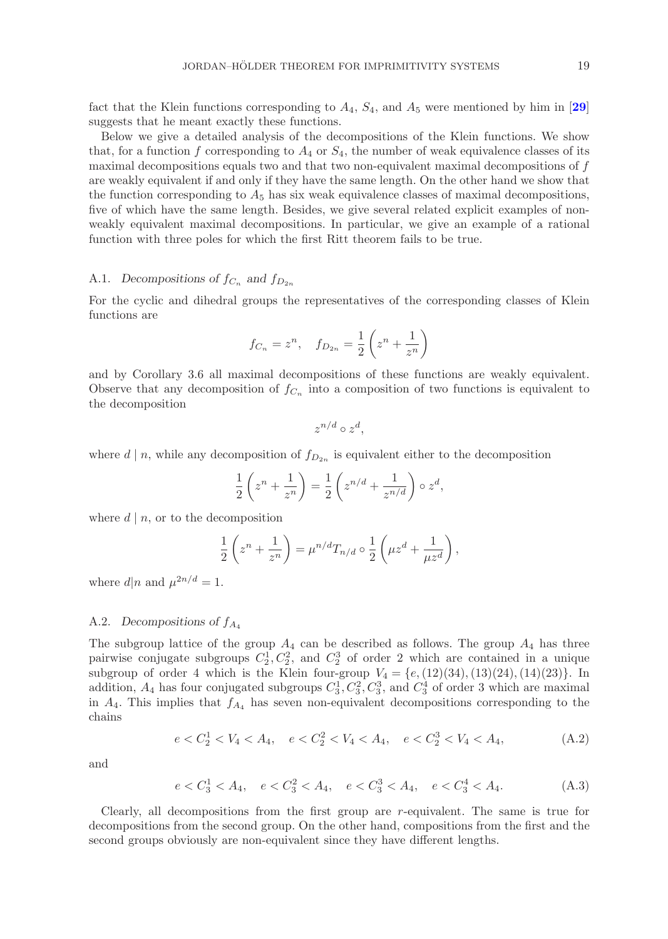fact that the Klein functions corresponding to  $A_4$ ,  $S_4$ , and  $A_5$  were mentioned by him in [[29](#page-22-27)] suggests that he meant exactly these functions.

Below we give a detailed analysis of the decompositions of the Klein functions. We show that, for a function f corresponding to  $A_4$  or  $S_4$ , the number of weak equivalence classes of its maximal decompositions equals two and that two non-equivalent maximal decompositions of  $f$ are weakly equivalent if and only if they have the same length. On the other hand we show that the function corresponding to  $A_5$  has six weak equivalence classes of maximal decompositions, five of which have the same length. Besides, we give several related explicit examples of nonweakly equivalent maximal decompositions. In particular, we give an example of a rational function with three poles for which the first Ritt theorem fails to be true.

# A.1. Decompositions of  $f_{C_n}$  and  $f_{D_{2n}}$

For the cyclic and dihedral groups the representatives of the corresponding classes of Klein functions are

$$
f_{C_n} = z^n
$$
,  $f_{D_{2n}} = \frac{1}{2} \left( z^n + \frac{1}{z^n} \right)$ 

and by Corollary 3.6 all maximal decompositions of these functions are weakly equivalent. Observe that any decomposition of  $f_{C_n}$  into a composition of two functions is equivalent to the decomposition

$$
z^{n/d} \circ z^d,
$$

where d | n, while any decomposition of  $f_{D_{2n}}$  is equivalent either to the decomposition

$$
\frac{1}{2}\left(z^n + \frac{1}{z^n}\right) = \frac{1}{2}\left(z^{n/d} + \frac{1}{z^{n/d}}\right) \circ z^d,
$$

where  $d | n$ , or to the decomposition

$$
\frac{1}{2}\left(z^n + \frac{1}{z^n}\right) = \mu^{n/d} T_{n/d} \circ \frac{1}{2}\left(\mu z^d + \frac{1}{\mu z^d}\right),
$$

where  $d|n$  and  $\mu^{2n/d} = 1$ .

### A.2. *Decompositions of*  $f_{A_4}$

The subgroup lattice of the group  $A_4$  can be described as follows. The group  $A_4$  has three pairwise conjugate subgroups  $C_2^1, C_2^2$ , and  $C_2^3$  of order 2 which are contained in a unique subgroup of order 4 which is the Klein four-group  $V_4 = \{e,(12)(34),(13)(24),(14)(23)\}.$  In addition,  $A_4$  has four conjugated subgroups  $C_3^1, C_3^2, C_3^3$ , and  $C_3^4$  of order 3 which are maximal in  $A_4$ . This implies that  $f_{A_4}$  has seven non-equivalent decompositions corresponding to the chains

<span id="page-18-1"></span>
$$
e < C_2^1 < V_4 < A_4, \quad e < C_2^2 < V_4 < A_4, \quad e < C_2^3 < V_4 < A_4,\tag{A.2}
$$

and

<span id="page-18-0"></span>
$$
e < C_3^1 < A_4, \quad e < C_3^2 < A_4, \quad e < C_3^3 < A_4, \quad e < C_3^4 < A_4. \tag{A.3}
$$

Clearly, all decompositions from the first group are  $r$ -equivalent. The same is true for decompositions from the second group. On the other hand, compositions from the first and the second groups obviously are non-equivalent since they have different lengths.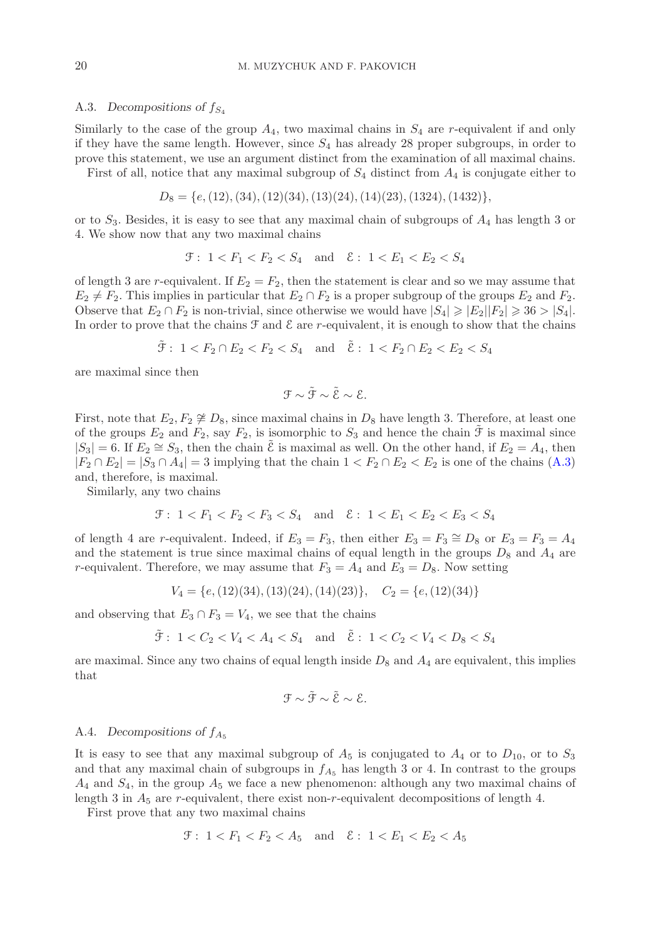#### A.3. *Decompositions of*  $f_{S_4}$

Similarly to the case of the group  $A_4$ , two maximal chains in  $S_4$  are r-equivalent if and only if they have the same length. However, since  $S_4$  has already 28 proper subgroups, in order to prove this statement, we use an argument distinct from the examination of all maximal chains.

First of all, notice that any maximal subgroup of  $S_4$  distinct from  $A_4$  is conjugate either to

$$
D_8 = \{e, (12), (34), (12)(34), (13)(24), (14)(23), (1324), (1432)\},\
$$

or to  $S_3$ . Besides, it is easy to see that any maximal chain of subgroups of  $A_4$  has length 3 or 4. We show now that any two maximal chains

$$
\mathfrak{F}: 1 < F_1 < F_2 < S_4 \quad \text{and} \quad \mathcal{E}: 1 < E_1 < E_2 < S_4
$$

of length 3 are r-equivalent. If  $E_2 = F_2$ , then the statement is clear and so we may assume that  $E_2 \neq F_2$ . This implies in particular that  $E_2 \cap F_2$  is a proper subgroup of the groups  $E_2$  and  $F_2$ . Observe that  $E_2 \cap F_2$  is non-trivial, since otherwise we would have  $|S_4| \geqslant |E_2||F_2| \geqslant 36 > |S_4|$ . In order to prove that the chains  $\mathcal F$  and  $\mathcal E$  are r-equivalent, it is enough to show that the chains

$$
\tilde{\mathcal{F}}: 1 < F_2 \cap E_2 < F_2 < S_4 \quad \text{and} \quad \tilde{\mathcal{E}}: 1 < F_2 \cap E_2 < E_2 < S_4
$$

are maximal since then

$$
\mathfrak{F} \sim \tilde{\mathfrak{F}} \sim \tilde{\mathcal{E}} \sim \mathcal{E}.
$$

First, note that  $E_2, F_2 \not\cong D_8$ , since maximal chains in  $D_8$  have length 3. Therefore, at least one of the groups  $E_2$  and  $F_2$ , say  $F_2$ , is isomorphic to  $S_3$  and hence the chain  $\mathcal F$  is maximal since  $|S_3| = 6$ . If  $E_2 \cong S_3$ , then the chain  $\mathcal E$  is maximal as well. On the other hand, if  $E_2 = A_4$ , then  $|F_2 \cap E_2| = |S_3 \cap A_4| = 3$  implying that the chain  $1 < F_2 \cap E_2 < E_2$  is one of the chains [\(A.3\)](#page-18-0) and, therefore, is maximal.

Similarly, any two chains

$$
\mathcal{F}: 1 < F_1 < F_2 < F_3 < S_4 \quad \text{and} \quad \mathcal{E}: 1 < E_1 < E_2 < E_3 < S_4
$$

of length 4 are r-equivalent. Indeed, if  $E_3 = F_3$ , then either  $E_3 = F_3 \cong D_8$  or  $E_3 = F_3 = A_4$ and the statement is true since maximal chains of equal length in the groups  $D_8$  and  $A_4$  are r-equivalent. Therefore, we may assume that  $F_3 = A_4$  and  $E_3 = D_8$ . Now setting

$$
V_4 = \{e, (12)(34), (13)(24), (14)(23)\}, \quad C_2 = \{e, (12)(34)\}
$$

and observing that  $E_3 \cap F_3 = V_4$ , we see that the chains

$$
\tilde{\mathcal{F}}: 1 < C_2 < V_4 < A_4 < S_4
$$
 and  $\tilde{\mathcal{E}}: 1 < C_2 < V_4 < D_8 < S_4$ 

are maximal. Since any two chains of equal length inside  $D_8$  and  $A_4$  are equivalent, this implies that

$$
\mathfrak{F}\sim\tilde{\mathfrak{F}}\sim\tilde{\mathcal{E}}\sim\mathcal{E}.
$$

### A.4. *Decompositions of*  $f_{A_5}$

It is easy to see that any maximal subgroup of  $A_5$  is conjugated to  $A_4$  or to  $D_{10}$ , or to  $S_3$ and that any maximal chain of subgroups in  $f_{A_5}$  has length 3 or 4. In contrast to the groups  $A_4$  and  $S_4$ , in the group  $A_5$  we face a new phenomenon: although any two maximal chains of length 3 in  $A_5$  are r-equivalent, there exist non-r-equivalent decompositions of length 4.

First prove that any two maximal chains

$$
\mathcal{F}: 1 < F_1 < F_2 < A_5 \quad \text{and} \quad \mathcal{E}: 1 < E_1 < E_2 < A_5
$$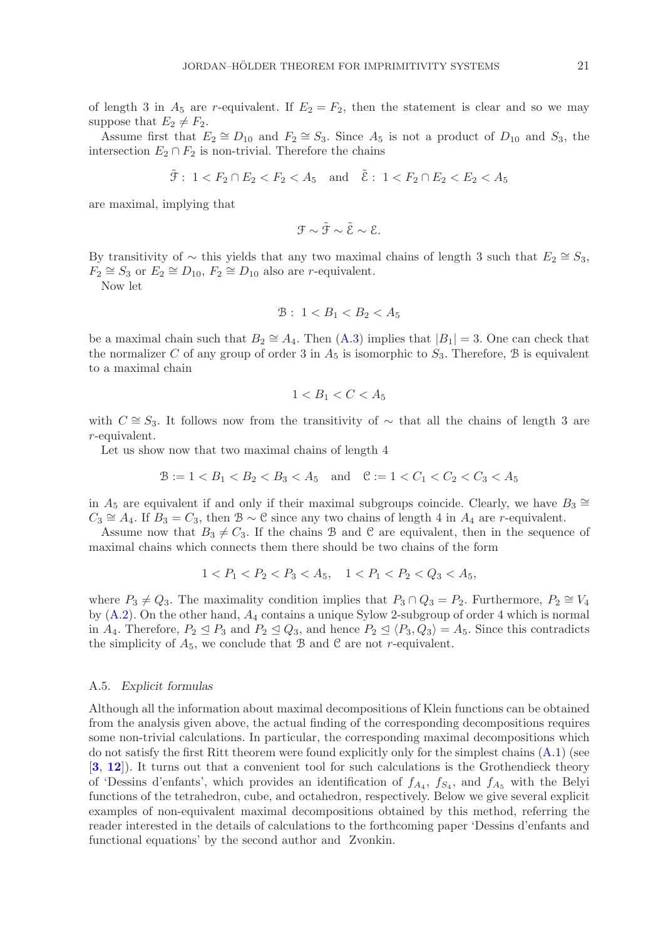of length 3 in  $A_5$  are r-equivalent. If  $E_2 = F_2$ , then the statement is clear and so we may suppose that  $E_2 \neq F_2$ .

Assume first that  $E_2 \cong D_{10}$  and  $F_2 \cong S_3$ . Since  $A_5$  is not a product of  $D_{10}$  and  $S_3$ , the intersection  $E_2 \cap F_2$  is non-trivial. Therefore the chains

$$
\tilde{\mathcal{F}}: 1 < F_2 \cap E_2 < F_2 < A_5
$$
 and  $\tilde{\mathcal{E}}: 1 < F_2 \cap E_2 < E_2 < A_5$ 

are maximal, implying that

$$
\mathfrak{F} \sim \tilde{\mathfrak{F}} \sim \tilde{\mathcal{E}} \sim \mathcal{E}.
$$

By transitivity of  $\sim$  this yields that any two maximal chains of length 3 such that  $E_2 \cong S_3$ ,  $F_2 \cong S_3$  or  $E_2 \cong D_{10}$ ,  $F_2 \cong D_{10}$  also are r-equivalent.

Now let

$$
B: 1 < B_1 < B_2 < A_5
$$

be a maximal chain such that  $B_2 \cong A_4$ . Then  $(A.3)$  implies that  $|B_1| = 3$ . One can check that the normalizer C of any group of order 3 in  $A_5$  is isomorphic to  $S_3$ . Therefore, B is equivalent to a maximal chain

$$
1 < B_1 < C < A_5
$$

with  $C \cong S_3$ . It follows now from the transitivity of ~ that all the chains of length 3 are r-equivalent.

Let us show now that two maximal chains of length 4

$$
\mathcal{B} := 1 < B_1 < B_2 < B_3 < A_5 \quad \text{and} \quad \mathcal{C} := 1 < C_1 < C_2 < C_3 < A_5
$$

in  $A_5$  are equivalent if and only if their maximal subgroups coincide. Clearly, we have  $B_3 \cong$  $C_3 \cong A_4$ . If  $B_3 = C_3$ , then  $\mathcal{B} \sim \mathcal{C}$  since any two chains of length 4 in  $A_4$  are r-equivalent.

Assume now that  $B_3 \neq C_3$ . If the chains B and C are equivalent, then in the sequence of maximal chains which connects them there should be two chains of the form

$$
1 < P_1 < P_2 < P_3 < A_5, \quad 1 < P_1 < P_2 < Q_3 < A_5,
$$

where  $P_3 \neq Q_3$ . The maximality condition implies that  $P_3 \cap Q_3 = P_2$ . Furthermore,  $P_2 \cong V_4$ by [\(A.2\)](#page-18-1). On the other hand, A<sup>4</sup> contains a unique Sylow 2-subgroup of order 4 which is normal in  $A_4$ . Therefore,  $P_2 \trianglelefteq P_3$  and  $P_2 \trianglelefteq Q_3$ , and hence  $P_2 \trianglelefteq \langle P_3, Q_3 \rangle = A_5$ . Since this contradicts the simplicity of  $A_5$ , we conclude that B and C are not r-equivalent.

### A.5. *Explicit formulas*

Although all the information about maximal decompositions of Klein functions can be obtained from the analysis given above, the actual finding of the corresponding decompositions requires some non-trivial calculations. In particular, the corresponding maximal decompositions which do not satisfy the first Ritt theorem were found explicitly only for the simplest chains [\(A.1\)](#page-17-1) (see [**[3](#page-22-16)**, **[12](#page-22-17)**]). It turns out that a convenient tool for such calculations is the Grothendieck theory of 'Dessins d'enfants', which provides an identification of  $f_{A_4}$ ,  $f_{S_4}$ , and  $f_{A_5}$  with the Belyi functions of the tetrahedron, cube, and octahedron, respectively. Below we give several explicit examples of non-equivalent maximal decompositions obtained by this method, referring the reader interested in the details of calculations to the forthcoming paper 'Dessins d'enfants and functional equations' by the second author and Zvonkin.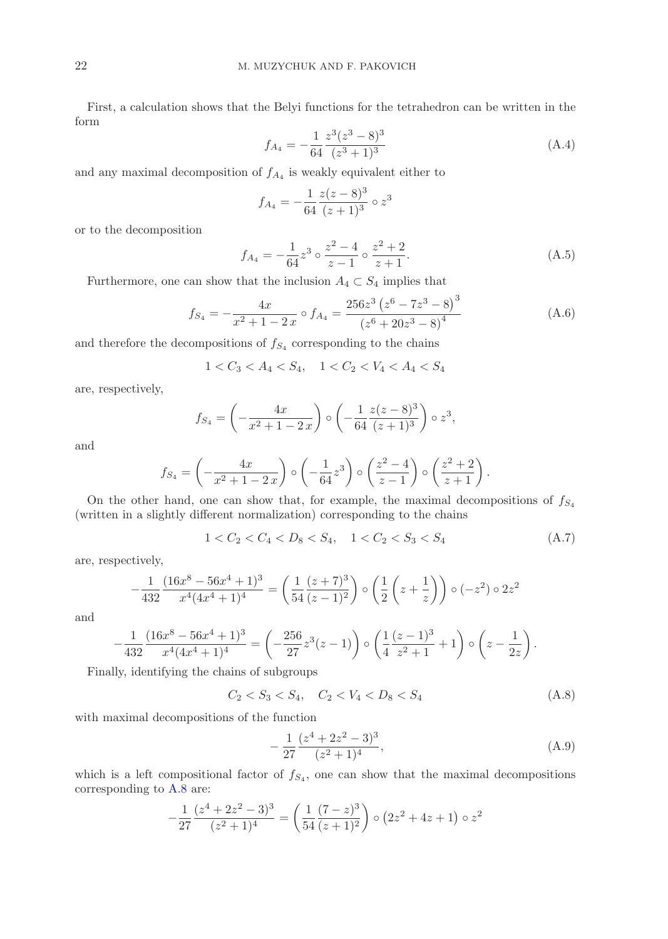First, a calculation shows that the Belyi functions for the tetrahedron can be written in the form

$$
f_{A_4} = -\frac{1}{64} \frac{z^3 (z^3 - 8)^3}{(z^3 + 1)^3}
$$
 (A.4)

and any maximal decomposition of  $f_{A_4}$  is weakly equivalent either to

$$
f_{A_4} = -\frac{1}{64} \frac{z(z-8)^3}{(z+1)^3} \circ z^3
$$

or to the decomposition

$$
f_{A_4} = -\frac{1}{64}z^3 \circ \frac{z^2 - 4}{z - 1} \circ \frac{z^2 + 2}{z + 1}.
$$
 (A.5)

Furthermore, one can show that the inclusion  $A_4 \subset S_4$  implies that

$$
f_{S_4} = -\frac{4x}{x^2 + 1 - 2x} \circ f_{A_4} = \frac{256z^3\left(z^6 - 7z^3 - 8\right)^3}{\left(z^6 + 20z^3 - 8\right)^4} \tag{A.6}
$$

and therefore the decompositions of  $f_{S_4}$  corresponding to the chains

$$
1 < C_3 < A_4 < S_4, \quad 1 < C_2 < V_4 < A_4 < S_4
$$

are, respectively,

$$
f_{S_4} = \left(-\frac{4x}{x^2 + 1 - 2x}\right) \circ \left(-\frac{1}{64} \frac{z(z-8)^3}{(z+1)^3}\right) \circ z^3,
$$

and

$$
f_{S_4} = \left(-\frac{4x}{x^2+1-2x}\right) \circ \left(-\frac{1}{64}z^3\right) \circ \left(\frac{z^2-4}{z-1}\right) \circ \left(\frac{z^2+2}{z+1}\right).
$$

On the other hand, one can show that, for example, the maximal decompositions of  $f_{S_4}$ (written in a slightly different normalization) corresponding to the chains

$$
1 < C_2 < C_4 < D_8 < S_4, \quad 1 < C_2 < S_3 < S_4 \tag{A.7}
$$

are, respectively,

$$
-\frac{1}{432} \frac{(16x^8 - 56x^4 + 1)^3}{x^4(4x^4 + 1)^4} = \left(\frac{1}{54} \frac{(z+7)^3}{(z-1)^2}\right) \circ \left(\frac{1}{2} \left(z + \frac{1}{z}\right)\right) \circ (-z^2) \circ 2z^2
$$

and

$$
-\frac{1}{432} \frac{(16x^8 - 56x^4 + 1)^3}{x^4(4x^4 + 1)^4} = \left(-\frac{256}{27}z^3(z-1)\right) \circ \left(\frac{1}{4}\frac{(z-1)^3}{z^2+1} + 1\right) \circ \left(z - \frac{1}{2z}\right).
$$

Finally, identifying the chains of subgroups

<span id="page-21-0"></span>
$$
C_2 < S_3 < S_4, \quad C_2 < V_4 < D_8 < S_4 \tag{A.8}
$$

with maximal decompositions of the function

<span id="page-21-1"></span>
$$
-\frac{1}{27}\frac{(z^4+2z^2-3)^3}{(z^2+1)^4},\tag{A.9}
$$

which is a left compositional factor of  $f_{S_4}$ , one can show that the maximal decompositions corresponding to [A.8](#page-21-0) are:

$$
-\frac{1}{27}\frac{(z^4+2z^2-3)^3}{(z^2+1)^4} = \left(\frac{1}{54}\frac{(7-z)^3}{(z+1)^2}\right) \circ \left(2z^2+4z+1\right) \circ z^2
$$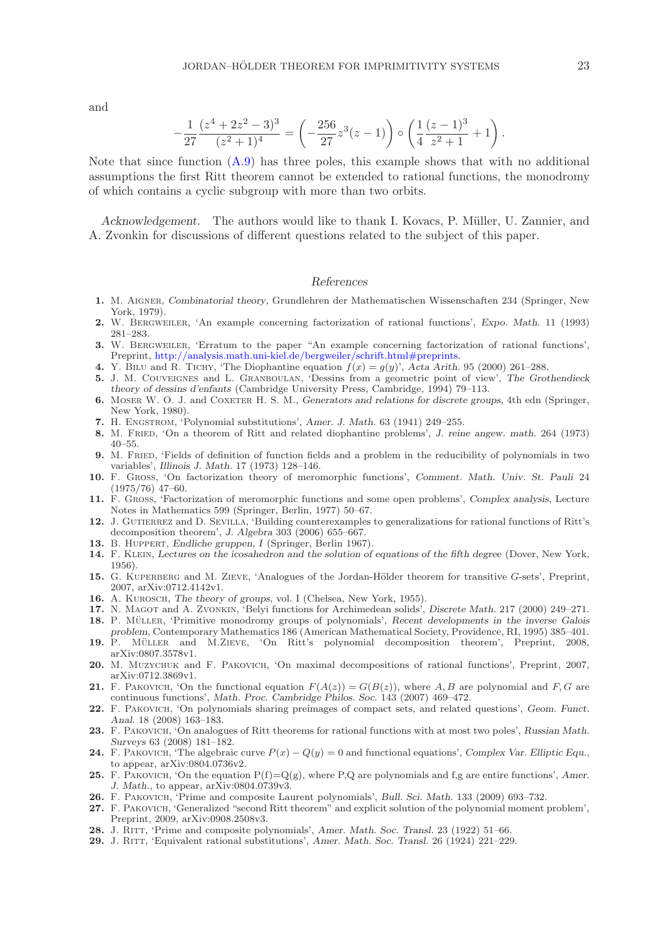and

$$
-\frac{1}{27} \frac{(z^4+2z^2-3)^3}{(z^2+1)^4} = \left(-\frac{256}{27}z^3(z-1)\right) \circ \left(\frac{1}{4} \frac{(z-1)^3}{z^2+1}+1\right).
$$

Note that since function [\(A.9\)](#page-21-1) has three poles, this example shows that with no additional assumptions the first Ritt theorem cannot be extended to rational functions, the monodromy of which contains a cyclic subgroup with more than two orbits.

*Acknowledgement.* The authors would like to thank I. Kovacs, P. Müller, U. Zannier, and A. Zvonkin for discussions of different questions related to the subject of this paper.

### *References*

- <span id="page-22-19"></span>**1.** M. Aigner, *Combinatorial theory*, Grundlehren der Mathematischen Wissenschaften 234 (Springer, New York, 1979).
- <span id="page-22-24"></span>**2.** W. Bergweiler, 'An example concerning factorization of rational functions', *Expo. Math.* 11 (1993) 281–283.
- <span id="page-22-16"></span>**3.** W. Bergweiler, 'Erratum to the paper "An example concerning factorization of rational functions', Preprint, [http://analysis.math.uni-kiel.de/bergweiler/schrift.html#preprints.](http://analysis.math.uni-kiel.de/bergweiler/schrift.html#preprints)
- <span id="page-22-14"></span><span id="page-22-2"></span>**4.** Y. BILU and R. TICHY, 'The Diophantine equation  $f(x) = g(y)$ ', *Acta Arith.* 95 (2000) 261–288.
- **5.** J. M. Couveignes and L. Granboulan, 'Dessins from a geometric point of view', *The Grothendieck theory of dessins d'enfants* (Cambridge University Press, Cambridge, 1994) 79–113.
- <span id="page-22-22"></span>**6.** Moser W. O. J. and Coxeter H. S. M., *Generators and relations for discrete groups,* 4th edn (Springer, New York, 1980).
- <span id="page-22-3"></span><span id="page-22-1"></span>**7.** H. Engstrom, 'Polynomial substitutions', *Amer. J. Math.* 63 (1941) 249–255.
- **8.** M. Fried, 'On a theorem of Ritt and related diophantine problems', *J. reine angew. math.* 264 (1973) 40–55.
- <span id="page-22-23"></span>**9.** M. Fried, 'Fields of definition of function fields and a problem in the reducibility of polynomials in two variables', *Illinois J. Math.* 17 (1973) 128–146.
- <span id="page-22-25"></span>**10.** F. Gross, 'On factorization theory of meromorphic functions', *Comment. Math. Univ. St. Pauli* 24 (1975/76) 47–60.
- <span id="page-22-26"></span>**11.** F. Gross, 'Factorization of meromorphic functions and some open problems', *Complex analysis*, Lecture Notes in Mathematics 599 (Springer, Berlin, 1977) 50–67.
- <span id="page-22-17"></span>12. J. GUTIERREZ and D. SEVILLA, 'Building counterexamples to generalizations for rational functions of Ritt's decomposition theorem', *J. Algebra* 303 (2006) 655–667.
- <span id="page-22-20"></span><span id="page-22-13"></span>**13.** B. Huppert, *Endliche gruppen, I* (Springer, Berlin 1967).
- **14.** F. Klein, *Lectures on the icosahedron and the solution of equations of the fifth degree* (Dover, New York, 1956).
- <span id="page-22-12"></span>**15.** G. KUPERBERG and M. ZIEVE, 'Analogues of the Jordan-Hölder theorem for transitive *G*-sets', Preprint, 2007, arXiv:0712.4142v1.
- <span id="page-22-21"></span><span id="page-22-15"></span>**16.** A. Kurosch, *The theory of groups*, vol. I (Chelsea, New York, 1955).
- <span id="page-22-9"></span>**17.** N. Magot and A. Zvonkin, 'Belyi functions for Archimedean solids', *Discrete Math.* 217 (2000) 249–271.
- 18. P. MÜLLER, 'Primitive monodromy groups of polynomials', *Recent developments in the inverse Galois*
- <span id="page-22-6"></span>*problem*, Contemporary Mathematics 186 (American Mathematical Society, Providence, RI, 1995) 385–401. 19. P. MÜLLER and M.ZIEVE, 'On Ritt's polynomial decomposition theorem', Preprint, 2008, arXiv:0807.3578v1.
- <span id="page-22-18"></span>**20.** M. Muzychuk and F. Pakovich, 'On maximal decompositions of rational functions', Preprint, 2007, arXiv:0712.3869v1.
- <span id="page-22-5"></span>**21.** F. PAKOVICH, 'On the functional equation  $F(A(z)) = G(B(z))$ , where A, B are polynomial and F, G are continuous functions', *Math. Proc. Cambridge Philos. Soc.* 143 (2007) 469–472.
- <span id="page-22-4"></span>**22.** F. Pakovich, 'On polynomials sharing preimages of compact sets, and related questions', *Geom. Funct. Anal.* 18 (2008) 163–183.
- <span id="page-22-10"></span>**23.** F. Pakovich, 'On analogues of Ritt theorems for rational functions with at most two poles', *Russian Math. Surveys* 63 (2008) 181–182.
- <span id="page-22-7"></span>**24.** F. PAKOVICH, 'The algebraic curve  $P(x) - Q(y) = 0$  and functional equations', *Complex Var. Elliptic Equ.*, to appear, arXiv:0804.0736v2.
- **25.** F. PAKOVICH, 'On the equation  $P(f)=Q(g)$ , where P,Q are polynomials and f,g are entire functions', *Amer. J. Math.*, to appear, arXiv:0804.0739v3.
- <span id="page-22-11"></span><span id="page-22-8"></span>**26.** F. Pakovich, 'Prime and composite Laurent polynomials', *Bull. Sci. Math.* 133 (2009) 693–732.
- **27.** F. Pakovich, 'Generalized "second Ritt theorem" and explicit solution of the polynomial moment problem', Preprint, 2009, arXiv:0908.2508v3.
- <span id="page-22-27"></span><span id="page-22-0"></span>**28.** J. Ritt, 'Prime and composite polynomials', *Amer. Math. Soc. Transl.* 23 (1922) 51–66.
- **29.** J. Ritt, 'Equivalent rational substitutions', *Amer. Math. Soc. Transl.* 26 (1924) 221–229.